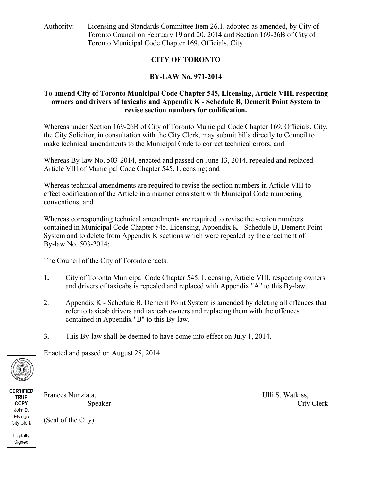Authority: Licensing and Standards Committee Item 26.1, adopted as amended, by City of Toronto Council on February 19 and 20, 2014 and Section 169-26B of City of Toronto Municipal Code Chapter 169, Officials, City

# **CITY OF TORONTO**

# **BY-LAW No. 971-2014**

## **To amend City of Toronto Municipal Code Chapter 545, Licensing, Article VIII, respecting owners and drivers of taxicabs and Appendix K - Schedule B, Demerit Point System to revise section numbers for codification.**

Whereas under Section 169-26B of City of Toronto Municipal Code Chapter 169, Officials, City, the City Solicitor, in consultation with the City Clerk, may submit bills directly to Council to make technical amendments to the Municipal Code to correct technical errors; and

Whereas By-law No. 503-2014, enacted and passed on June 13, 2014, repealed and replaced Article VIII of Municipal Code Chapter 545, Licensing; and

Whereas technical amendments are required to revise the section numbers in Article VIII to effect codification of the Article in a manner consistent with Municipal Code numbering conventions; and

Whereas corresponding technical amendments are required to revise the section numbers contained in Municipal Code Chapter 545, Licensing, Appendix K - Schedule B, Demerit Point System and to delete from Appendix K sections which were repealed by the enactment of By-law No. 503-2014;

The Council of the City of Toronto enacts:

- **1.** City of Toronto Municipal Code Chapter 545, Licensing, Article VIII, respecting owners and drivers of taxicabs is repealed and replaced with Appendix "A" to this By-law.
- 2. Appendix K Schedule B, Demerit Point System is amended by deleting all offences that refer to taxicab drivers and taxicab owners and replacing them with the offences contained in Appendix "B" to this By-law.
- **3.** This By-law shall be deemed to have come into effect on July 1, 2014.

Enacted and passed on August 28, 2014.



**CERTIFIED TRUE** COPY John D. Elvidge City Clerk Digitally

Signed

Frances Nunziata, **Exercise 1988** Ulli S. Watkiss,

Speaker City Clerk

(Seal of the City)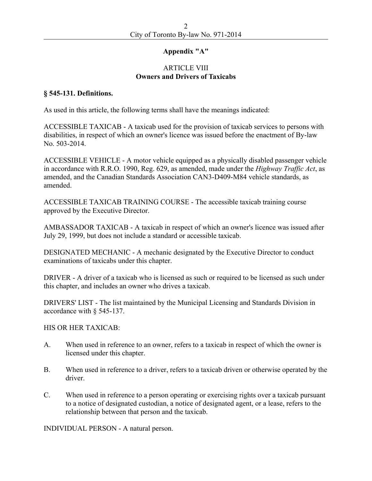#### **Appendix "A"**

#### ARTICLE VIII **Owners and Drivers of Taxicabs**

#### **§ 545-131. Definitions.**

As used in this article, the following terms shall have the meanings indicated:

ACCESSIBLE TAXICAB - A taxicab used for the provision of taxicab services to persons with disabilities, in respect of which an owner's licence was issued before the enactment of By-law No. 503-2014.

ACCESSIBLE VEHICLE - A motor vehicle equipped as a physically disabled passenger vehicle in accordance with R.R.O. 1990, Reg. 629, as amended, made under the *Highway Traffic Act*, as amended, and the Canadian Standards Association CAN3-D409-M84 vehicle standards, as amended.

ACCESSIBLE TAXICAB TRAINING COURSE - The accessible taxicab training course approved by the Executive Director.

AMBASSADOR TAXICAB - A taxicab in respect of which an owner's licence was issued after July 29, 1999, but does not include a standard or accessible taxicab.

DESIGNATED MECHANIC - A mechanic designated by the Executive Director to conduct examinations of taxicabs under this chapter.

DRIVER - A driver of a taxicab who is licensed as such or required to be licensed as such under this chapter, and includes an owner who drives a taxicab.

DRIVERS' LIST - The list maintained by the Municipal Licensing and Standards Division in accordance with § 545-137.

#### HIS OR HER TAXICAB:

- A. When used in reference to an owner, refers to a taxicab in respect of which the owner is licensed under this chapter.
- B. When used in reference to a driver, refers to a taxicab driven or otherwise operated by the driver.
- C. When used in reference to a person operating or exercising rights over a taxicab pursuant to a notice of designated custodian, a notice of designated agent, or a lease, refers to the relationship between that person and the taxicab.

INDIVIDUAL PERSON - A natural person.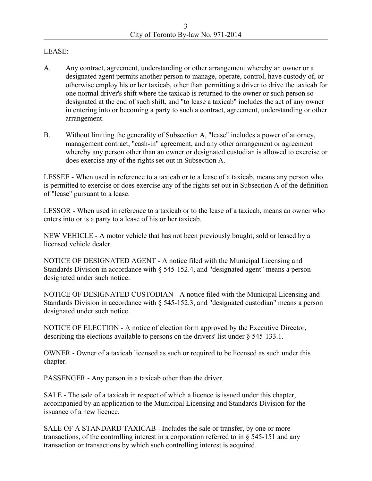#### LEASE:

- A. Any contract, agreement, understanding or other arrangement whereby an owner or a designated agent permits another person to manage, operate, control, have custody of, or otherwise employ his or her taxicab, other than permitting a driver to drive the taxicab for one normal driver's shift where the taxicab is returned to the owner or such person so designated at the end of such shift, and "to lease a taxicab" includes the act of any owner in entering into or becoming a party to such a contract, agreement, understanding or other arrangement.
- B. Without limiting the generality of Subsection A, "lease" includes a power of attorney, management contract, "cash-in" agreement, and any other arrangement or agreement whereby any person other than an owner or designated custodian is allowed to exercise or does exercise any of the rights set out in Subsection A.

LESSEE - When used in reference to a taxicab or to a lease of a taxicab, means any person who is permitted to exercise or does exercise any of the rights set out in Subsection A of the definition of "lease" pursuant to a lease.

LESSOR - When used in reference to a taxicab or to the lease of a taxicab, means an owner who enters into or is a party to a lease of his or her taxicab.

NEW VEHICLE - A motor vehicle that has not been previously bought, sold or leased by a licensed vehicle dealer.

NOTICE OF DESIGNATED AGENT - A notice filed with the Municipal Licensing and Standards Division in accordance with § 545-152.4, and "designated agent" means a person designated under such notice.

NOTICE OF DESIGNATED CUSTODIAN - A notice filed with the Municipal Licensing and Standards Division in accordance with § 545-152.3, and "designated custodian" means a person designated under such notice.

NOTICE OF ELECTION - A notice of election form approved by the Executive Director, describing the elections available to persons on the drivers' list under § 545-133.1.

OWNER - Owner of a taxicab licensed as such or required to be licensed as such under this chapter.

PASSENGER - Any person in a taxicab other than the driver.

SALE - The sale of a taxicab in respect of which a licence is issued under this chapter, accompanied by an application to the Municipal Licensing and Standards Division for the issuance of a new licence.

SALE OF A STANDARD TAXICAB - Includes the sale or transfer, by one or more transactions, of the controlling interest in a corporation referred to in § 545-151 and any transaction or transactions by which such controlling interest is acquired.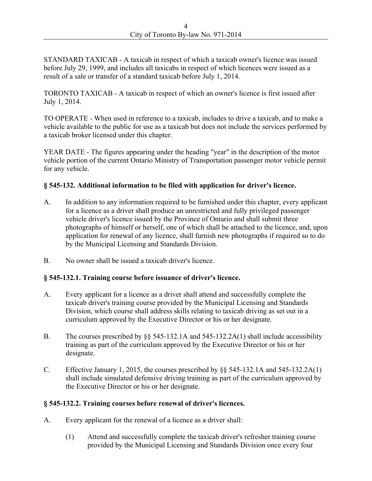STANDARD TAXICAB - A taxicab in respect of which a taxicab owner's licence was issued before July 29, 1999, and includes all taxicabs in respect of which licences were issued as a result of a sale or transfer of a standard taxicab before July 1, 2014.

TORONTO TAXICAB - A taxicab in respect of which an owner's licence is first issued after July 1, 2014.

TO OPERATE - When used in reference to a taxicab, includes to drive a taxicab, and to make a vehicle available to the public for use as a taxicab but does not include the services performed by a taxicab broker licensed under this chapter.

YEAR DATE - The figures appearing under the heading "year" in the description of the motor vehicle portion of the current Ontario Ministry of Transportation passenger motor vehicle permit for any vehicle.

## **§ 545-132. Additional information to be filed with application for driver's licence.**

- A. In addition to any information required to be furnished under this chapter, every applicant for a licence as a driver shall produce an unrestricted and fully privileged passenger vehicle driver's licence issued by the Province of Ontario and shall submit three photographs of himself or herself, one of which shall be attached to the licence, and, upon application for renewal of any licence, shall furnish new photographs if required so to do by the Municipal Licensing and Standards Division.
- B. No owner shall be issued a taxicab driver's licence.

## **§ 545-132.1. Training course before issuance of driver's licence.**

- A. Every applicant for a licence as a driver shall attend and successfully complete the taxicab driver's training course provided by the Municipal Licensing and Standards Division, which course shall address skills relating to taxicab driving as set out in a curriculum approved by the Executive Director or his or her designate.
- B. The courses prescribed by §§ 545-132.1A and 545-132.2A(1) shall include accessibility training as part of the curriculum approved by the Executive Director or his or her designate.
- C. Effective January 1, 2015, the courses prescribed by  $\S$  545-132.1A and 545-132.2A(1) shall include simulated defensive driving training as part of the curriculum approved by the Executive Director or his or her designate.

## **§ 545-132.2. Training courses before renewal of driver's licences.**

- A. Every applicant for the renewal of a licence as a driver shall:
	- (1) Attend and successfully complete the taxicab driver's refresher training course provided by the Municipal Licensing and Standards Division once every four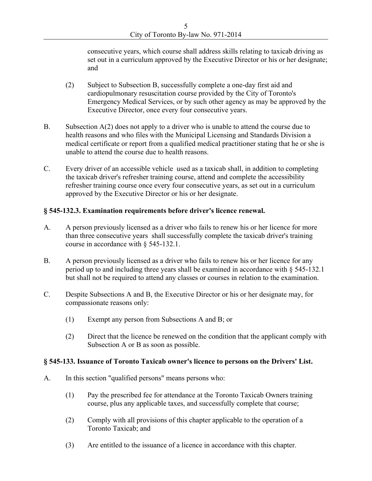consecutive years, which course shall address skills relating to taxicab driving as set out in a curriculum approved by the Executive Director or his or her designate; and

- (2) Subject to Subsection B, successfully complete a one-day first aid and cardiopulmonary resuscitation course provided by the City of Toronto's Emergency Medical Services, or by such other agency as may be approved by the Executive Director, once every four consecutive years.
- B. Subsection A(2) does not apply to a driver who is unable to attend the course due to health reasons and who files with the Municipal Licensing and Standards Division a medical certificate or report from a qualified medical practitioner stating that he or she is unable to attend the course due to health reasons.
- C. Every driver of an accessible vehicle used as a taxicab shall, in addition to completing the taxicab driver's refresher training course, attend and complete the accessibility refresher training course once every four consecutive years, as set out in a curriculum approved by the Executive Director or his or her designate.

#### **§ 545-132.3. Examination requirements before driver's licence renewal.**

- A. A person previously licensed as a driver who fails to renew his or her licence for more than three consecutive years shall successfully complete the taxicab driver's training course in accordance with § 545-132.1.
- B. A person previously licensed as a driver who fails to renew his or her licence for any period up to and including three years shall be examined in accordance with § 545-132.1 but shall not be required to attend any classes or courses in relation to the examination.
- C. Despite Subsections A and B, the Executive Director or his or her designate may, for compassionate reasons only:
	- (1) Exempt any person from Subsections A and B; or
	- (2) Direct that the licence be renewed on the condition that the applicant comply with Subsection A or B as soon as possible.

#### **§ 545-133. Issuance of Toronto Taxicab owner's licence to persons on the Drivers' List.**

- A. In this section "qualified persons" means persons who:
	- (1) Pay the prescribed fee for attendance at the Toronto Taxicab Owners training course, plus any applicable taxes, and successfully complete that course;
	- (2) Comply with all provisions of this chapter applicable to the operation of a Toronto Taxicab; and
	- (3) Are entitled to the issuance of a licence in accordance with this chapter.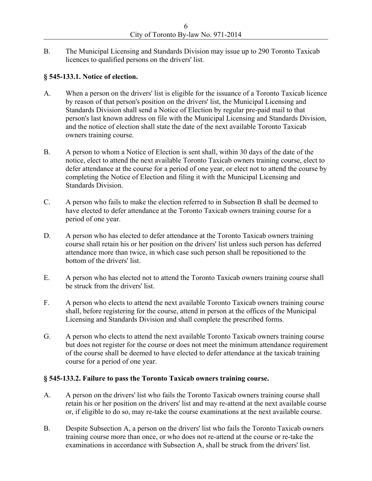B. The Municipal Licensing and Standards Division may issue up to 290 Toronto Taxicab licences to qualified persons on the drivers' list.

## **§ 545-133.1. Notice of election.**

- A. When a person on the drivers' list is eligible for the issuance of a Toronto Taxicab licence by reason of that person's position on the drivers' list, the Municipal Licensing and Standards Division shall send a Notice of Election by regular pre-paid mail to that person's last known address on file with the Municipal Licensing and Standards Division, and the notice of election shall state the date of the next available Toronto Taxicab owners training course.
- B. A person to whom a Notice of Election is sent shall, within 30 days of the date of the notice, elect to attend the next available Toronto Taxicab owners training course, elect to defer attendance at the course for a period of one year, or elect not to attend the course by completing the Notice of Election and filing it with the Municipal Licensing and Standards Division.
- C. A person who fails to make the election referred to in Subsection B shall be deemed to have elected to defer attendance at the Toronto Taxicab owners training course for a period of one year.
- D. A person who has elected to defer attendance at the Toronto Taxicab owners training course shall retain his or her position on the drivers' list unless such person has deferred attendance more than twice, in which case such person shall be repositioned to the bottom of the drivers' list.
- E. A person who has elected not to attend the Toronto Taxicab owners training course shall be struck from the drivers' list.
- F. A person who elects to attend the next available Toronto Taxicab owners training course shall, before registering for the course, attend in person at the offices of the Municipal Licensing and Standards Division and shall complete the prescribed forms.
- G. A person who elects to attend the next available Toronto Taxicab owners training course but does not register for the course or does not meet the minimum attendance requirement of the course shall be deemed to have elected to defer attendance at the taxicab training course for a period of one year.

## **§ 545-133.2. Failure to pass the Toronto Taxicab owners training course.**

- A. A person on the drivers' list who fails the Toronto Taxicab owners training course shall retain his or her position on the drivers' list and may re-attend at the next available course or, if eligible to do so, may re-take the course examinations at the next available course.
- B. Despite Subsection A, a person on the drivers' list who fails the Toronto Taxicab owners training course more than once, or who does not re-attend at the course or re-take the examinations in accordance with Subsection A, shall be struck from the drivers' list.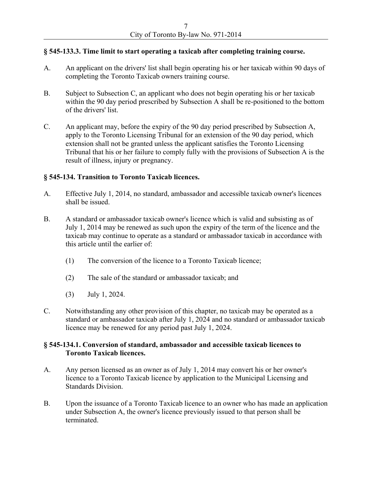## **§ 545-133.3. Time limit to start operating a taxicab after completing training course.**

- A. An applicant on the drivers' list shall begin operating his or her taxicab within 90 days of completing the Toronto Taxicab owners training course.
- B. Subject to Subsection C, an applicant who does not begin operating his or her taxicab within the 90 day period prescribed by Subsection A shall be re-positioned to the bottom of the drivers' list.
- C. An applicant may, before the expiry of the 90 day period prescribed by Subsection A, apply to the Toronto Licensing Tribunal for an extension of the 90 day period, which extension shall not be granted unless the applicant satisfies the Toronto Licensing Tribunal that his or her failure to comply fully with the provisions of Subsection A is the result of illness, injury or pregnancy.

#### **§ 545-134. Transition to Toronto Taxicab licences.**

- A. Effective July 1, 2014, no standard, ambassador and accessible taxicab owner's licences shall be issued.
- B. A standard or ambassador taxicab owner's licence which is valid and subsisting as of July 1, 2014 may be renewed as such upon the expiry of the term of the licence and the taxicab may continue to operate as a standard or ambassador taxicab in accordance with this article until the earlier of:
	- (1) The conversion of the licence to a Toronto Taxicab licence;
	- (2) The sale of the standard or ambassador taxicab; and
	- (3) July 1, 2024.
- C. Notwithstanding any other provision of this chapter, no taxicab may be operated as a standard or ambassador taxicab after July 1, 2024 and no standard or ambassador taxicab licence may be renewed for any period past July 1, 2024.

#### **§ 545-134.1. Conversion of standard, ambassador and accessible taxicab licences to Toronto Taxicab licences.**

- A. Any person licensed as an owner as of July 1, 2014 may convert his or her owner's licence to a Toronto Taxicab licence by application to the Municipal Licensing and Standards Division.
- B. Upon the issuance of a Toronto Taxicab licence to an owner who has made an application under Subsection A, the owner's licence previously issued to that person shall be terminated.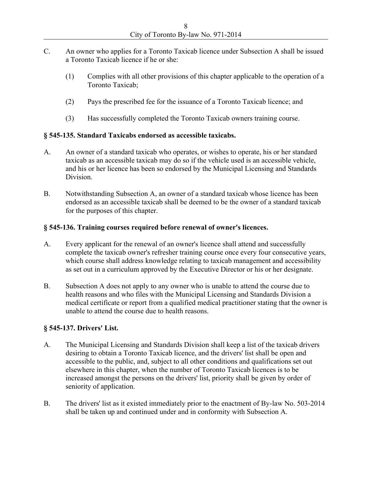- C. An owner who applies for a Toronto Taxicab licence under Subsection A shall be issued a Toronto Taxicab licence if he or she:
	- (1) Complies with all other provisions of this chapter applicable to the operation of a Toronto Taxicab;
	- (2) Pays the prescribed fee for the issuance of a Toronto Taxicab licence; and
	- (3) Has successfully completed the Toronto Taxicab owners training course.

## **§ 545-135. Standard Taxicabs endorsed as accessible taxicabs.**

- A. An owner of a standard taxicab who operates, or wishes to operate, his or her standard taxicab as an accessible taxicab may do so if the vehicle used is an accessible vehicle, and his or her licence has been so endorsed by the Municipal Licensing and Standards **Division**
- B. Notwithstanding Subsection A, an owner of a standard taxicab whose licence has been endorsed as an accessible taxicab shall be deemed to be the owner of a standard taxicab for the purposes of this chapter.

## **§ 545-136. Training courses required before renewal of owner's licences.**

- A. Every applicant for the renewal of an owner's licence shall attend and successfully complete the taxicab owner's refresher training course once every four consecutive years, which course shall address knowledge relating to taxicab management and accessibility as set out in a curriculum approved by the Executive Director or his or her designate.
- B. Subsection A does not apply to any owner who is unable to attend the course due to health reasons and who files with the Municipal Licensing and Standards Division a medical certificate or report from a qualified medical practitioner stating that the owner is unable to attend the course due to health reasons.

## **§ 545-137. Drivers' List.**

- A. The Municipal Licensing and Standards Division shall keep a list of the taxicab drivers desiring to obtain a Toronto Taxicab licence, and the drivers' list shall be open and accessible to the public, and, subject to all other conditions and qualifications set out elsewhere in this chapter, when the number of Toronto Taxicab licences is to be increased amongst the persons on the drivers' list, priority shall be given by order of seniority of application.
- B. The drivers' list as it existed immediately prior to the enactment of By-law No. 503-2014 shall be taken up and continued under and in conformity with Subsection A.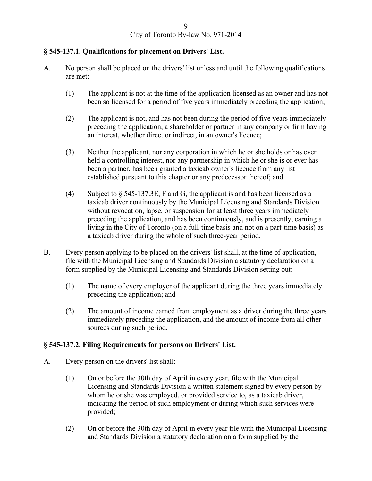## **§ 545-137.1. Qualifications for placement on Drivers' List.**

- A. No person shall be placed on the drivers' list unless and until the following qualifications are met:
	- (1) The applicant is not at the time of the application licensed as an owner and has not been so licensed for a period of five years immediately preceding the application;
	- (2) The applicant is not, and has not been during the period of five years immediately preceding the application, a shareholder or partner in any company or firm having an interest, whether direct or indirect, in an owner's licence;
	- (3) Neither the applicant, nor any corporation in which he or she holds or has ever held a controlling interest, nor any partnership in which he or she is or ever has been a partner, has been granted a taxicab owner's licence from any list established pursuant to this chapter or any predecessor thereof; and
	- (4) Subject to § 545-137.3E, F and G, the applicant is and has been licensed as a taxicab driver continuously by the Municipal Licensing and Standards Division without revocation, lapse, or suspension for at least three years immediately preceding the application, and has been continuously, and is presently, earning a living in the City of Toronto (on a full-time basis and not on a part-time basis) as a taxicab driver during the whole of such three-year period.
- B. Every person applying to be placed on the drivers' list shall, at the time of application, file with the Municipal Licensing and Standards Division a statutory declaration on a form supplied by the Municipal Licensing and Standards Division setting out:
	- (1) The name of every employer of the applicant during the three years immediately preceding the application; and
	- (2) The amount of income earned from employment as a driver during the three years immediately preceding the application, and the amount of income from all other sources during such period.

## **§ 545-137.2. Filing Requirements for persons on Drivers' List.**

- A. Every person on the drivers' list shall:
	- (1) On or before the 30th day of April in every year, file with the Municipal Licensing and Standards Division a written statement signed by every person by whom he or she was employed, or provided service to, as a taxicab driver, indicating the period of such employment or during which such services were provided;
	- (2) On or before the 30th day of April in every year file with the Municipal Licensing and Standards Division a statutory declaration on a form supplied by the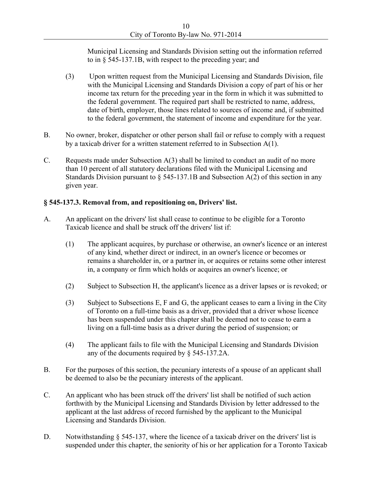Municipal Licensing and Standards Division setting out the information referred to in § 545-137.1B, with respect to the preceding year; and

- (3) Upon written request from the Municipal Licensing and Standards Division, file with the Municipal Licensing and Standards Division a copy of part of his or her income tax return for the preceding year in the form in which it was submitted to the federal government. The required part shall be restricted to name, address, date of birth, employer, those lines related to sources of income and, if submitted to the federal government, the statement of income and expenditure for the year.
- B. No owner, broker, dispatcher or other person shall fail or refuse to comply with a request by a taxicab driver for a written statement referred to in Subsection A(1).
- C. Requests made under Subsection A(3) shall be limited to conduct an audit of no more than 10 percent of all statutory declarations filed with the Municipal Licensing and Standards Division pursuant to  $\S$  545-137.1B and Subsection A(2) of this section in any given year.

# **§ 545-137.3. Removal from, and repositioning on, Drivers' list.**

- A. An applicant on the drivers' list shall cease to continue to be eligible for a Toronto Taxicab licence and shall be struck off the drivers' list if:
	- (1) The applicant acquires, by purchase or otherwise, an owner's licence or an interest of any kind, whether direct or indirect, in an owner's licence or becomes or remains a shareholder in, or a partner in, or acquires or retains some other interest in, a company or firm which holds or acquires an owner's licence; or
	- (2) Subject to Subsection H, the applicant's licence as a driver lapses or is revoked; or
	- (3) Subject to Subsections E, F and G, the applicant ceases to earn a living in the City of Toronto on a full-time basis as a driver, provided that a driver whose licence has been suspended under this chapter shall be deemed not to cease to earn a living on a full-time basis as a driver during the period of suspension; or
	- (4) The applicant fails to file with the Municipal Licensing and Standards Division any of the documents required by § 545-137.2A.
- B. For the purposes of this section, the pecuniary interests of a spouse of an applicant shall be deemed to also be the pecuniary interests of the applicant.
- C. An applicant who has been struck off the drivers' list shall be notified of such action forthwith by the Municipal Licensing and Standards Division by letter addressed to the applicant at the last address of record furnished by the applicant to the Municipal Licensing and Standards Division.
- D. Notwithstanding  $\S$  545-137, where the licence of a taxicab driver on the drivers' list is suspended under this chapter, the seniority of his or her application for a Toronto Taxicab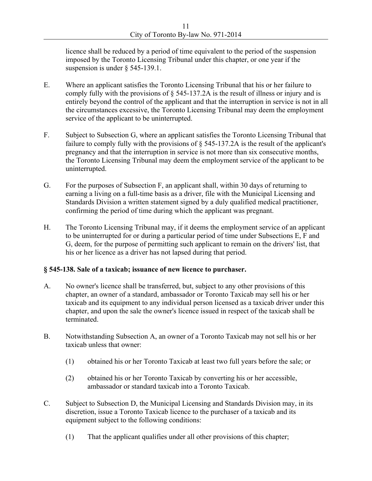licence shall be reduced by a period of time equivalent to the period of the suspension imposed by the Toronto Licensing Tribunal under this chapter, or one year if the suspension is under § 545-139.1.

- E. Where an applicant satisfies the Toronto Licensing Tribunal that his or her failure to comply fully with the provisions of § 545-137.2A is the result of illness or injury and is entirely beyond the control of the applicant and that the interruption in service is not in all the circumstances excessive, the Toronto Licensing Tribunal may deem the employment service of the applicant to be uninterrupted.
- F. Subject to Subsection G, where an applicant satisfies the Toronto Licensing Tribunal that failure to comply fully with the provisions of § 545-137.2A is the result of the applicant's pregnancy and that the interruption in service is not more than six consecutive months, the Toronto Licensing Tribunal may deem the employment service of the applicant to be uninterrupted.
- G. For the purposes of Subsection F, an applicant shall, within 30 days of returning to earning a living on a full-time basis as a driver, file with the Municipal Licensing and Standards Division a written statement signed by a duly qualified medical practitioner, confirming the period of time during which the applicant was pregnant.
- H. The Toronto Licensing Tribunal may, if it deems the employment service of an applicant to be uninterrupted for or during a particular period of time under Subsections E, F and G, deem, for the purpose of permitting such applicant to remain on the drivers' list, that his or her licence as a driver has not lapsed during that period.

## **§ 545-138. Sale of a taxicab; issuance of new licence to purchaser.**

- A. No owner's licence shall be transferred, but, subject to any other provisions of this chapter, an owner of a standard, ambassador or Toronto Taxicab may sell his or her taxicab and its equipment to any individual person licensed as a taxicab driver under this chapter, and upon the sale the owner's licence issued in respect of the taxicab shall be terminated.
- B. Notwithstanding Subsection A, an owner of a Toronto Taxicab may not sell his or her taxicab unless that owner:
	- (1) obtained his or her Toronto Taxicab at least two full years before the sale; or
	- (2) obtained his or her Toronto Taxicab by converting his or her accessible, ambassador or standard taxicab into a Toronto Taxicab.
- C. Subject to Subsection D, the Municipal Licensing and Standards Division may, in its discretion, issue a Toronto Taxicab licence to the purchaser of a taxicab and its equipment subject to the following conditions:
	- (1) That the applicant qualifies under all other provisions of this chapter;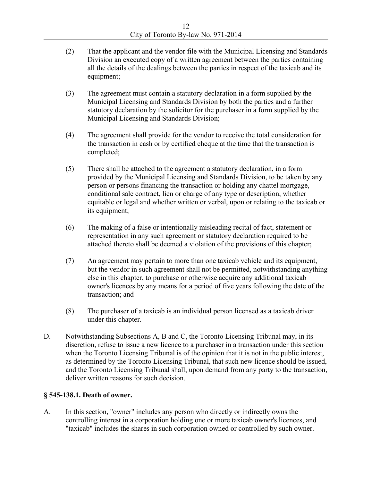- (2) That the applicant and the vendor file with the Municipal Licensing and Standards Division an executed copy of a written agreement between the parties containing all the details of the dealings between the parties in respect of the taxicab and its equipment;
- (3) The agreement must contain a statutory declaration in a form supplied by the Municipal Licensing and Standards Division by both the parties and a further statutory declaration by the solicitor for the purchaser in a form supplied by the Municipal Licensing and Standards Division;
- (4) The agreement shall provide for the vendor to receive the total consideration for the transaction in cash or by certified cheque at the time that the transaction is completed;
- (5) There shall be attached to the agreement a statutory declaration, in a form provided by the Municipal Licensing and Standards Division, to be taken by any person or persons financing the transaction or holding any chattel mortgage, conditional sale contract, lien or charge of any type or description, whether equitable or legal and whether written or verbal, upon or relating to the taxicab or its equipment;
- (6) The making of a false or intentionally misleading recital of fact, statement or representation in any such agreement or statutory declaration required to be attached thereto shall be deemed a violation of the provisions of this chapter;
- (7) An agreement may pertain to more than one taxicab vehicle and its equipment, but the vendor in such agreement shall not be permitted, notwithstanding anything else in this chapter, to purchase or otherwise acquire any additional taxicab owner's licences by any means for a period of five years following the date of the transaction; and
- (8) The purchaser of a taxicab is an individual person licensed as a taxicab driver under this chapter.
- D. Notwithstanding Subsections A, B and C, the Toronto Licensing Tribunal may, in its discretion, refuse to issue a new licence to a purchaser in a transaction under this section when the Toronto Licensing Tribunal is of the opinion that it is not in the public interest, as determined by the Toronto Licensing Tribunal, that such new licence should be issued, and the Toronto Licensing Tribunal shall, upon demand from any party to the transaction, deliver written reasons for such decision.

## **§ 545-138.1. Death of owner.**

A. In this section, "owner" includes any person who directly or indirectly owns the controlling interest in a corporation holding one or more taxicab owner's licences, and "taxicab" includes the shares in such corporation owned or controlled by such owner.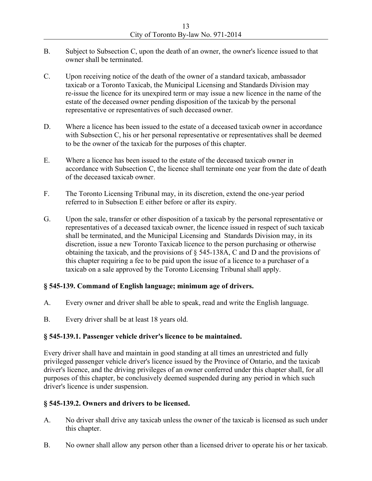- B. Subject to Subsection C, upon the death of an owner, the owner's licence issued to that owner shall be terminated.
- C. Upon receiving notice of the death of the owner of a standard taxicab, ambassador taxicab or a Toronto Taxicab, the Municipal Licensing and Standards Division may re-issue the licence for its unexpired term or may issue a new licence in the name of the estate of the deceased owner pending disposition of the taxicab by the personal representative or representatives of such deceased owner.
- D. Where a licence has been issued to the estate of a deceased taxicab owner in accordance with Subsection C, his or her personal representative or representatives shall be deemed to be the owner of the taxicab for the purposes of this chapter.
- E. Where a licence has been issued to the estate of the deceased taxicab owner in accordance with Subsection C, the licence shall terminate one year from the date of death of the deceased taxicab owner.
- F. The Toronto Licensing Tribunal may, in its discretion, extend the one-year period referred to in Subsection E either before or after its expiry.
- G. Upon the sale, transfer or other disposition of a taxicab by the personal representative or representatives of a deceased taxicab owner, the licence issued in respect of such taxicab shall be terminated, and the Municipal Licensing and Standards Division may, in its discretion, issue a new Toronto Taxicab licence to the person purchasing or otherwise obtaining the taxicab, and the provisions of § 545-138A, C and D and the provisions of this chapter requiring a fee to be paid upon the issue of a licence to a purchaser of a taxicab on a sale approved by the Toronto Licensing Tribunal shall apply.

## **§ 545-139. Command of English language; minimum age of drivers.**

- A. Every owner and driver shall be able to speak, read and write the English language.
- B. Every driver shall be at least 18 years old.

#### **§ 545-139.1. Passenger vehicle driver's licence to be maintained.**

Every driver shall have and maintain in good standing at all times an unrestricted and fully privileged passenger vehicle driver's licence issued by the Province of Ontario, and the taxicab driver's licence, and the driving privileges of an owner conferred under this chapter shall, for all purposes of this chapter, be conclusively deemed suspended during any period in which such driver's licence is under suspension.

## **§ 545-139.2. Owners and drivers to be licensed.**

- A. No driver shall drive any taxicab unless the owner of the taxicab is licensed as such under this chapter.
- B. No owner shall allow any person other than a licensed driver to operate his or her taxicab.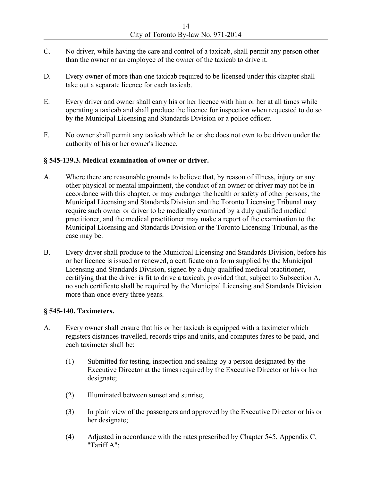- C. No driver, while having the care and control of a taxicab, shall permit any person other than the owner or an employee of the owner of the taxicab to drive it.
- D. Every owner of more than one taxicab required to be licensed under this chapter shall take out a separate licence for each taxicab.
- E. Every driver and owner shall carry his or her licence with him or her at all times while operating a taxicab and shall produce the licence for inspection when requested to do so by the Municipal Licensing and Standards Division or a police officer.
- F. No owner shall permit any taxicab which he or she does not own to be driven under the authority of his or her owner's licence.

#### **§ 545-139.3. Medical examination of owner or driver.**

- A. Where there are reasonable grounds to believe that, by reason of illness, injury or any other physical or mental impairment, the conduct of an owner or driver may not be in accordance with this chapter, or may endanger the health or safety of other persons, the Municipal Licensing and Standards Division and the Toronto Licensing Tribunal may require such owner or driver to be medically examined by a duly qualified medical practitioner, and the medical practitioner may make a report of the examination to the Municipal Licensing and Standards Division or the Toronto Licensing Tribunal, as the case may be.
- B. Every driver shall produce to the Municipal Licensing and Standards Division, before his or her licence is issued or renewed, a certificate on a form supplied by the Municipal Licensing and Standards Division, signed by a duly qualified medical practitioner, certifying that the driver is fit to drive a taxicab, provided that, subject to Subsection A, no such certificate shall be required by the Municipal Licensing and Standards Division more than once every three years.

## **§ 545-140. Taximeters.**

- A. Every owner shall ensure that his or her taxicab is equipped with a taximeter which registers distances travelled, records trips and units, and computes fares to be paid, and each taximeter shall be:
	- (1) Submitted for testing, inspection and sealing by a person designated by the Executive Director at the times required by the Executive Director or his or her designate;
	- (2) Illuminated between sunset and sunrise;
	- (3) In plain view of the passengers and approved by the Executive Director or his or her designate;
	- (4) Adjusted in accordance with the rates prescribed by Chapter 545, Appendix C, "Tariff A";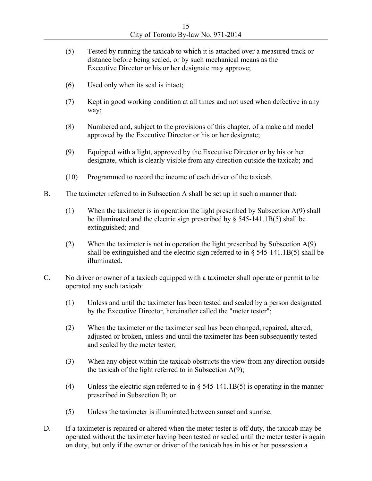- (5) Tested by running the taxicab to which it is attached over a measured track or distance before being sealed, or by such mechanical means as the Executive Director or his or her designate may approve;
- (6) Used only when its seal is intact;
- (7) Kept in good working condition at all times and not used when defective in any way;
- (8) Numbered and, subject to the provisions of this chapter, of a make and model approved by the Executive Director or his or her designate;
- (9) Equipped with a light, approved by the Executive Director or by his or her designate, which is clearly visible from any direction outside the taxicab; and
- (10) Programmed to record the income of each driver of the taxicab.
- B. The taximeter referred to in Subsection A shall be set up in such a manner that:
	- (1) When the taximeter is in operation the light prescribed by Subsection A(9) shall be illuminated and the electric sign prescribed by § 545-141.1B(5) shall be extinguished; and
	- (2) When the taximeter is not in operation the light prescribed by Subsection A(9) shall be extinguished and the electric sign referred to in § 545-141.1B(5) shall be illuminated.
- C. No driver or owner of a taxicab equipped with a taximeter shall operate or permit to be operated any such taxicab:
	- (1) Unless and until the taximeter has been tested and sealed by a person designated by the Executive Director, hereinafter called the "meter tester";
	- (2) When the taximeter or the taximeter seal has been changed, repaired, altered, adjusted or broken, unless and until the taximeter has been subsequently tested and sealed by the meter tester;
	- (3) When any object within the taxicab obstructs the view from any direction outside the taxicab of the light referred to in Subsection  $A(9)$ ;
	- (4) Unless the electric sign referred to in  $\S$  545-141.1B(5) is operating in the manner prescribed in Subsection B; or
	- (5) Unless the taximeter is illuminated between sunset and sunrise.
- D. If a taximeter is repaired or altered when the meter tester is off duty, the taxicab may be operated without the taximeter having been tested or sealed until the meter tester is again on duty, but only if the owner or driver of the taxicab has in his or her possession a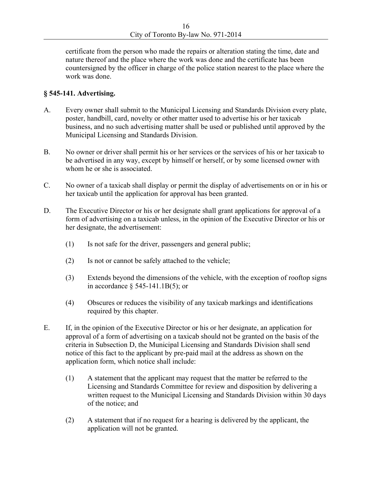certificate from the person who made the repairs or alteration stating the time, date and nature thereof and the place where the work was done and the certificate has been countersigned by the officer in charge of the police station nearest to the place where the work was done.

#### **§ 545-141. Advertising.**

- A. Every owner shall submit to the Municipal Licensing and Standards Division every plate, poster, handbill, card, novelty or other matter used to advertise his or her taxicab business, and no such advertising matter shall be used or published until approved by the Municipal Licensing and Standards Division.
- B. No owner or driver shall permit his or her services or the services of his or her taxicab to be advertised in any way, except by himself or herself, or by some licensed owner with whom he or she is associated.
- C. No owner of a taxicab shall display or permit the display of advertisements on or in his or her taxicab until the application for approval has been granted.
- D. The Executive Director or his or her designate shall grant applications for approval of a form of advertising on a taxicab unless, in the opinion of the Executive Director or his or her designate, the advertisement:
	- (1) Is not safe for the driver, passengers and general public;
	- (2) Is not or cannot be safely attached to the vehicle;
	- (3) Extends beyond the dimensions of the vehicle, with the exception of rooftop signs in accordance § 545-141.1B(5); or
	- (4) Obscures or reduces the visibility of any taxicab markings and identifications required by this chapter.
- E. If, in the opinion of the Executive Director or his or her designate, an application for approval of a form of advertising on a taxicab should not be granted on the basis of the criteria in Subsection D, the Municipal Licensing and Standards Division shall send notice of this fact to the applicant by pre-paid mail at the address as shown on the application form, which notice shall include:
	- (1) A statement that the applicant may request that the matter be referred to the Licensing and Standards Committee for review and disposition by delivering a written request to the Municipal Licensing and Standards Division within 30 days of the notice; and
	- (2) A statement that if no request for a hearing is delivered by the applicant, the application will not be granted.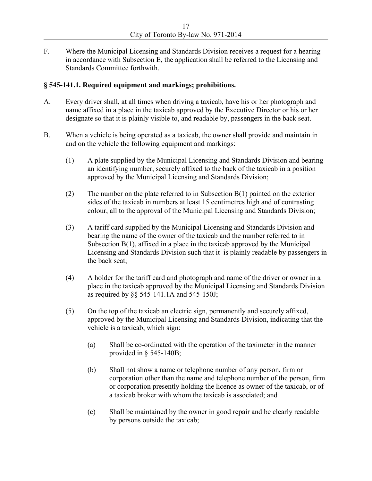F. Where the Municipal Licensing and Standards Division receives a request for a hearing in accordance with Subsection E, the application shall be referred to the Licensing and Standards Committee forthwith.

#### **§ 545-141.1. Required equipment and markings; prohibitions.**

- A. Every driver shall, at all times when driving a taxicab, have his or her photograph and name affixed in a place in the taxicab approved by the Executive Director or his or her designate so that it is plainly visible to, and readable by, passengers in the back seat.
- B. When a vehicle is being operated as a taxicab, the owner shall provide and maintain in and on the vehicle the following equipment and markings:
	- (1) A plate supplied by the Municipal Licensing and Standards Division and bearing an identifying number, securely affixed to the back of the taxicab in a position approved by the Municipal Licensing and Standards Division;
	- (2) The number on the plate referred to in Subsection B(1) painted on the exterior sides of the taxicab in numbers at least 15 centimetres high and of contrasting colour, all to the approval of the Municipal Licensing and Standards Division;
	- (3) A tariff card supplied by the Municipal Licensing and Standards Division and bearing the name of the owner of the taxicab and the number referred to in Subsection  $B(1)$ , affixed in a place in the taxicab approved by the Municipal Licensing and Standards Division such that it is plainly readable by passengers in the back seat;
	- (4) A holder for the tariff card and photograph and name of the driver or owner in a place in the taxicab approved by the Municipal Licensing and Standards Division as required by §§ 545-141.1A and 545-150J;
	- (5) On the top of the taxicab an electric sign, permanently and securely affixed, approved by the Municipal Licensing and Standards Division, indicating that the vehicle is a taxicab, which sign:
		- (a) Shall be co-ordinated with the operation of the taximeter in the manner provided in  $\S$  545-140B;
		- (b) Shall not show a name or telephone number of any person, firm or corporation other than the name and telephone number of the person, firm or corporation presently holding the licence as owner of the taxicab, or of a taxicab broker with whom the taxicab is associated; and
		- (c) Shall be maintained by the owner in good repair and be clearly readable by persons outside the taxicab;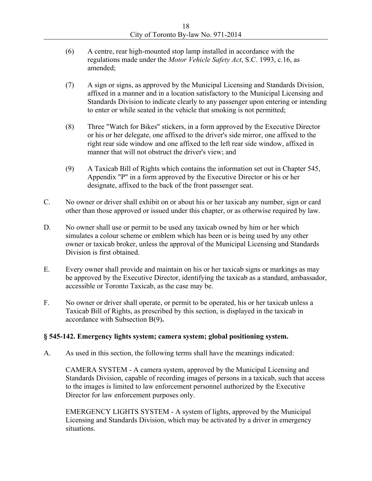- (6) A centre, rear high-mounted stop lamp installed in accordance with the regulations made under the *Motor Vehicle Safety Act*, S.C. 1993, c.16, as amended;
- (7) A sign or signs, as approved by the Municipal Licensing and Standards Division, affixed in a manner and in a location satisfactory to the Municipal Licensing and Standards Division to indicate clearly to any passenger upon entering or intending to enter or while seated in the vehicle that smoking is not permitted;
- (8) Three "Watch for Bikes" stickers, in a form approved by the Executive Director or his or her delegate, one affixed to the driver's side mirror, one affixed to the right rear side window and one affixed to the left rear side window, affixed in manner that will not obstruct the driver's view; and
- (9) A Taxicab Bill of Rights which contains the information set out in Chapter 545, Appendix "P" in a form approved by the Executive Director or his or her designate, affixed to the back of the front passenger seat.
- C. No owner or driver shall exhibit on or about his or her taxicab any number, sign or card other than those approved or issued under this chapter, or as otherwise required by law.
- D. No owner shall use or permit to be used any taxicab owned by him or her which simulates a colour scheme or emblem which has been or is being used by any other owner or taxicab broker, unless the approval of the Municipal Licensing and Standards Division is first obtained.
- E. Every owner shall provide and maintain on his or her taxicab signs or markings as may be approved by the Executive Director, identifying the taxicab as a standard, ambassador, accessible or Toronto Taxicab, as the case may be.
- F. No owner or driver shall operate, or permit to be operated, his or her taxicab unless a Taxicab Bill of Rights, as prescribed by this section, is displayed in the taxicab in accordance with Subsection B(9)**.**

## **§ 545-142. Emergency lights system; camera system; global positioning system.**

A. As used in this section, the following terms shall have the meanings indicated:

CAMERA SYSTEM - A camera system, approved by the Municipal Licensing and Standards Division, capable of recording images of persons in a taxicab, such that access to the images is limited to law enforcement personnel authorized by the Executive Director for law enforcement purposes only.

EMERGENCY LIGHTS SYSTEM - A system of lights, approved by the Municipal Licensing and Standards Division, which may be activated by a driver in emergency situations.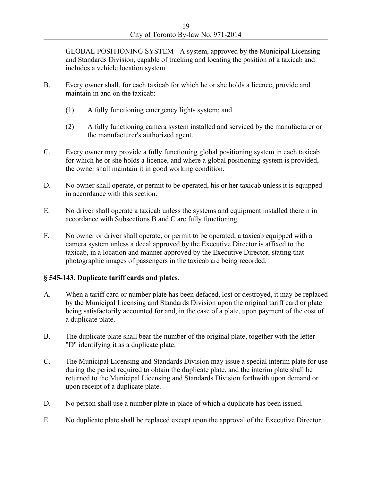GLOBAL POSITIONING SYSTEM - A system, approved by the Municipal Licensing and Standards Division, capable of tracking and locating the position of a taxicab and includes a vehicle location system.

- B. Every owner shall, for each taxicab for which he or she holds a licence, provide and maintain in and on the taxicab:
	- (1) A fully functioning emergency lights system; and
	- (2) A fully functioning camera system installed and serviced by the manufacturer or the manufacturer's authorized agent.
- C. Every owner may provide a fully functioning global positioning system in each taxicab for which he or she holds a licence, and where a global positioning system is provided, the owner shall maintain it in good working condition.
- D. No owner shall operate, or permit to be operated, his or her taxicab unless it is equipped in accordance with this section.
- E. No driver shall operate a taxicab unless the systems and equipment installed therein in accordance with Subsections B and C are fully functioning.
- F. No owner or driver shall operate, or permit to be operated, a taxicab equipped with a camera system unless a decal approved by the Executive Director is affixed to the taxicab, in a location and manner approved by the Executive Director, stating that photographic images of passengers in the taxicab are being recorded.

## **§ 545-143. Duplicate tariff cards and plates.**

- A. When a tariff card or number plate has been defaced, lost or destroyed, it may be replaced by the Municipal Licensing and Standards Division upon the original tariff card or plate being satisfactorily accounted for and, in the case of a plate, upon payment of the cost of a duplicate plate.
- B. The duplicate plate shall bear the number of the original plate, together with the letter "D" identifying it as a duplicate plate.
- C. The Municipal Licensing and Standards Division may issue a special interim plate for use during the period required to obtain the duplicate plate, and the interim plate shall be returned to the Municipal Licensing and Standards Division forthwith upon demand or upon receipt of a duplicate plate.
- D. No person shall use a number plate in place of which a duplicate has been issued.
- E. No duplicate plate shall be replaced except upon the approval of the Executive Director.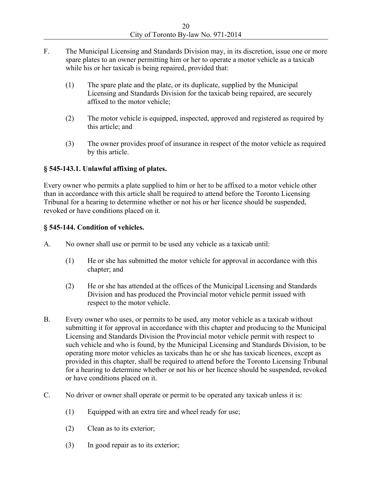- F. The Municipal Licensing and Standards Division may, in its discretion, issue one or more spare plates to an owner permitting him or her to operate a motor vehicle as a taxicab while his or her taxicab is being repaired, provided that:
	- (1) The spare plate and the plate, or its duplicate, supplied by the Municipal Licensing and Standards Division for the taxicab being repaired, are securely affixed to the motor vehicle;
	- (2) The motor vehicle is equipped, inspected, approved and registered as required by this article; and
	- (3) The owner provides proof of insurance in respect of the motor vehicle as required by this article.

# **§ 545-143.1. Unlawful affixing of plates.**

Every owner who permits a plate supplied to him or her to be affixed to a motor vehicle other than in accordance with this article shall be required to attend before the Toronto Licensing Tribunal for a hearing to determine whether or not his or her licence should be suspended, revoked or have conditions placed on it.

## **§ 545-144. Condition of vehicles.**

- A. No owner shall use or permit to be used any vehicle as a taxicab until:
	- (1) He or she has submitted the motor vehicle for approval in accordance with this chapter; and
	- (2) He or she has attended at the offices of the Municipal Licensing and Standards Division and has produced the Provincial motor vehicle permit issued with respect to the motor vehicle.
- B. Every owner who uses, or permits to be used, any motor vehicle as a taxicab without submitting it for approval in accordance with this chapter and producing to the Municipal Licensing and Standards Division the Provincial motor vehicle permit with respect to such vehicle and who is found, by the Municipal Licensing and Standards Division, to be operating more motor vehicles as taxicabs than he or she has taxicab licences, except as provided in this chapter, shall be required to attend before the Toronto Licensing Tribunal for a hearing to determine whether or not his or her licence should be suspended, revoked or have conditions placed on it.
- C. No driver or owner shall operate or permit to be operated any taxicab unless it is:
	- (1) Equipped with an extra tire and wheel ready for use;
	- (2) Clean as to its exterior;
	- (3) In good repair as to its exterior;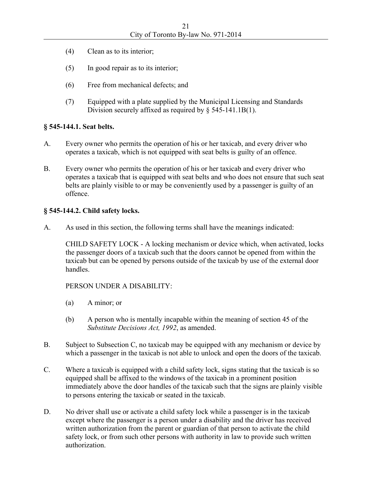- (4) Clean as to its interior;
- (5) In good repair as to its interior;
- (6) Free from mechanical defects; and
- (7) Equipped with a plate supplied by the Municipal Licensing and Standards Division securely affixed as required by § 545-141.1B(1).

## **§ 545-144.1. Seat belts.**

- A. Every owner who permits the operation of his or her taxicab, and every driver who operates a taxicab, which is not equipped with seat belts is guilty of an offence.
- B. Every owner who permits the operation of his or her taxicab and every driver who operates a taxicab that is equipped with seat belts and who does not ensure that such seat belts are plainly visible to or may be conveniently used by a passenger is guilty of an offence.

#### **§ 545-144.2. Child safety locks.**

A. As used in this section, the following terms shall have the meanings indicated:

CHILD SAFETY LOCK - A locking mechanism or device which, when activated, locks the passenger doors of a taxicab such that the doors cannot be opened from within the taxicab but can be opened by persons outside of the taxicab by use of the external door handles.

## PERSON UNDER A DISABILITY:

- (a) A minor; or
- (b) A person who is mentally incapable within the meaning of section 45 of the *Substitute Decisions Act, 1992*, as amended.
- B. Subject to Subsection C, no taxicab may be equipped with any mechanism or device by which a passenger in the taxicab is not able to unlock and open the doors of the taxicab.
- C. Where a taxicab is equipped with a child safety lock, signs stating that the taxicab is so equipped shall be affixed to the windows of the taxicab in a prominent position immediately above the door handles of the taxicab such that the signs are plainly visible to persons entering the taxicab or seated in the taxicab.
- D. No driver shall use or activate a child safety lock while a passenger is in the taxicab except where the passenger is a person under a disability and the driver has received written authorization from the parent or guardian of that person to activate the child safety lock, or from such other persons with authority in law to provide such written authorization.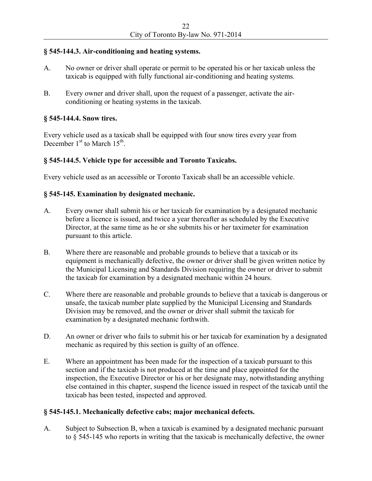#### **§ 545-144.3. Air-conditioning and heating systems.**

- A. No owner or driver shall operate or permit to be operated his or her taxicab unless the taxicab is equipped with fully functional air-conditioning and heating systems.
- B. Every owner and driver shall, upon the request of a passenger, activate the airconditioning or heating systems in the taxicab.

#### **§ 545-144.4. Snow tires.**

Every vehicle used as a taxicab shall be equipped with four snow tires every year from December  $1<sup>st</sup>$  to March  $15<sup>th</sup>$ .

#### **§ 545-144.5. Vehicle type for accessible and Toronto Taxicabs.**

Every vehicle used as an accessible or Toronto Taxicab shall be an accessible vehicle.

#### **§ 545-145. Examination by designated mechanic.**

- A. Every owner shall submit his or her taxicab for examination by a designated mechanic before a licence is issued, and twice a year thereafter as scheduled by the Executive Director, at the same time as he or she submits his or her taximeter for examination pursuant to this article.
- B. Where there are reasonable and probable grounds to believe that a taxicab or its equipment is mechanically defective, the owner or driver shall be given written notice by the Municipal Licensing and Standards Division requiring the owner or driver to submit the taxicab for examination by a designated mechanic within 24 hours.
- C. Where there are reasonable and probable grounds to believe that a taxicab is dangerous or unsafe, the taxicab number plate supplied by the Municipal Licensing and Standards Division may be removed, and the owner or driver shall submit the taxicab for examination by a designated mechanic forthwith.
- D. An owner or driver who fails to submit his or her taxicab for examination by a designated mechanic as required by this section is guilty of an offence.
- E. Where an appointment has been made for the inspection of a taxicab pursuant to this section and if the taxicab is not produced at the time and place appointed for the inspection, the Executive Director or his or her designate may, notwithstanding anything else contained in this chapter, suspend the licence issued in respect of the taxicab until the taxicab has been tested, inspected and approved.

#### **§ 545-145.1. Mechanically defective cabs; major mechanical defects.**

A. Subject to Subsection B, when a taxicab is examined by a designated mechanic pursuant to § 545-145 who reports in writing that the taxicab is mechanically defective, the owner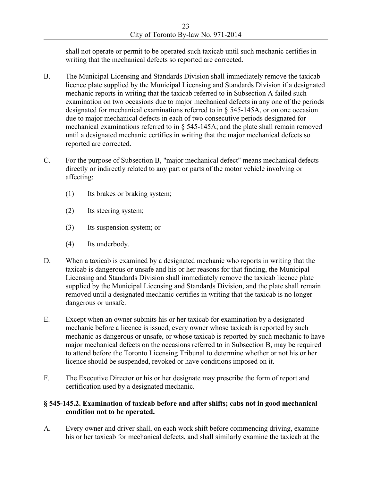shall not operate or permit to be operated such taxicab until such mechanic certifies in writing that the mechanical defects so reported are corrected.

- B. The Municipal Licensing and Standards Division shall immediately remove the taxicab licence plate supplied by the Municipal Licensing and Standards Division if a designated mechanic reports in writing that the taxicab referred to in Subsection A failed such examination on two occasions due to major mechanical defects in any one of the periods designated for mechanical examinations referred to in § 545-145A, or on one occasion due to major mechanical defects in each of two consecutive periods designated for mechanical examinations referred to in § 545-145A; and the plate shall remain removed until a designated mechanic certifies in writing that the major mechanical defects so reported are corrected.
- C. For the purpose of Subsection B, "major mechanical defect" means mechanical defects directly or indirectly related to any part or parts of the motor vehicle involving or affecting:
	- (1) Its brakes or braking system;
	- (2) Its steering system;
	- (3) Its suspension system; or
	- (4) Its underbody.
- D. When a taxicab is examined by a designated mechanic who reports in writing that the taxicab is dangerous or unsafe and his or her reasons for that finding, the Municipal Licensing and Standards Division shall immediately remove the taxicab licence plate supplied by the Municipal Licensing and Standards Division, and the plate shall remain removed until a designated mechanic certifies in writing that the taxicab is no longer dangerous or unsafe.
- E. Except when an owner submits his or her taxicab for examination by a designated mechanic before a licence is issued, every owner whose taxicab is reported by such mechanic as dangerous or unsafe, or whose taxicab is reported by such mechanic to have major mechanical defects on the occasions referred to in Subsection B, may be required to attend before the Toronto Licensing Tribunal to determine whether or not his or her licence should be suspended, revoked or have conditions imposed on it.
- F. The Executive Director or his or her designate may prescribe the form of report and certification used by a designated mechanic.

## **§ 545-145.2. Examination of taxicab before and after shifts; cabs not in good mechanical condition not to be operated.**

A. Every owner and driver shall, on each work shift before commencing driving, examine his or her taxicab for mechanical defects, and shall similarly examine the taxicab at the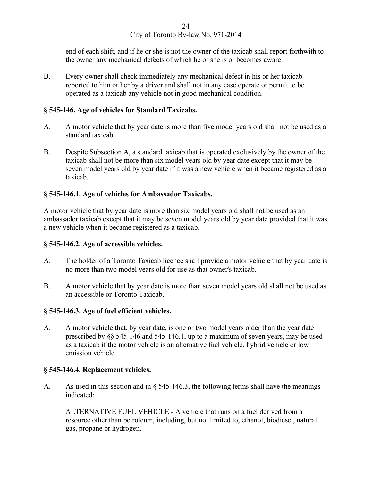end of each shift, and if he or she is not the owner of the taxicab shall report forthwith to the owner any mechanical defects of which he or she is or becomes aware.

B. Every owner shall check immediately any mechanical defect in his or her taxicab reported to him or her by a driver and shall not in any case operate or permit to be operated as a taxicab any vehicle not in good mechanical condition.

#### **§ 545-146. Age of vehicles for Standard Taxicabs.**

- A. A motor vehicle that by year date is more than five model years old shall not be used as a standard taxicab.
- B. Despite Subsection A, a standard taxicab that is operated exclusively by the owner of the taxicab shall not be more than six model years old by year date except that it may be seven model years old by year date if it was a new vehicle when it became registered as a taxicab.

#### **§ 545-146.1. Age of vehicles for Ambassador Taxicabs.**

A motor vehicle that by year date is more than six model years old shall not be used as an ambassador taxicab except that it may be seven model years old by year date provided that it was a new vehicle when it became registered as a taxicab.

#### **§ 545-146.2. Age of accessible vehicles.**

- A. The holder of a Toronto Taxicab licence shall provide a motor vehicle that by year date is no more than two model years old for use as that owner's taxicab.
- B. A motor vehicle that by year date is more than seven model years old shall not be used as an accessible or Toronto Taxicab.

#### **§ 545-146.3. Age of fuel efficient vehicles.**

A. A motor vehicle that, by year date, is one or two model years older than the year date prescribed by §§ 545-146 and 545-146.1, up to a maximum of seven years, may be used as a taxicab if the motor vehicle is an alternative fuel vehicle, hybrid vehicle or low emission vehicle.

#### **§ 545-146.4. Replacement vehicles.**

A. As used in this section and in § 545-146.3, the following terms shall have the meanings indicated:

ALTERNATIVE FUEL VEHICLE - A vehicle that runs on a fuel derived from a resource other than petroleum, including, but not limited to, ethanol, biodiesel, natural gas, propane or hydrogen.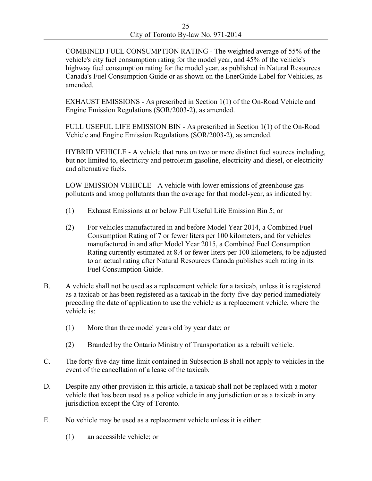COMBINED FUEL CONSUMPTION RATING - The weighted average of 55% of the vehicle's city fuel consumption rating for the model year, and 45% of the vehicle's highway fuel consumption rating for the model year, as published in Natural Resources Canada's Fuel Consumption Guide or as shown on the EnerGuide Label for Vehicles, as amended.

EXHAUST EMISSIONS - As prescribed in Section 1(1) of the On-Road Vehicle and Engine Emission Regulations (SOR/2003-2), as amended.

FULL USEFUL LIFE EMISSION BIN - As prescribed in Section 1(1) of the On-Road Vehicle and Engine Emission Regulations (SOR/2003-2), as amended.

HYBRID VEHICLE - A vehicle that runs on two or more distinct fuel sources including, but not limited to, electricity and petroleum gasoline, electricity and diesel, or electricity and alternative fuels.

LOW EMISSION VEHICLE - A vehicle with lower emissions of greenhouse gas pollutants and smog pollutants than the average for that model-year, as indicated by:

- (1) Exhaust Emissions at or below Full Useful Life Emission Bin 5; or
- (2) For vehicles manufactured in and before Model Year 2014, a Combined Fuel Consumption Rating of 7 or fewer liters per 100 kilometers, and for vehicles manufactured in and after Model Year 2015, a Combined Fuel Consumption Rating currently estimated at 8.4 or fewer liters per 100 kilometers, to be adjusted to an actual rating after Natural Resources Canada publishes such rating in its Fuel Consumption Guide.
- B. A vehicle shall not be used as a replacement vehicle for a taxicab, unless it is registered as a taxicab or has been registered as a taxicab in the forty-five-day period immediately preceding the date of application to use the vehicle as a replacement vehicle, where the vehicle is:
	- (1) More than three model years old by year date; or
	- (2) Branded by the Ontario Ministry of Transportation as a rebuilt vehicle.
- C. The forty-five-day time limit contained in Subsection B shall not apply to vehicles in the event of the cancellation of a lease of the taxicab.
- D. Despite any other provision in this article, a taxicab shall not be replaced with a motor vehicle that has been used as a police vehicle in any jurisdiction or as a taxicab in any jurisdiction except the City of Toronto.
- E. No vehicle may be used as a replacement vehicle unless it is either:
	- (1) an accessible vehicle; or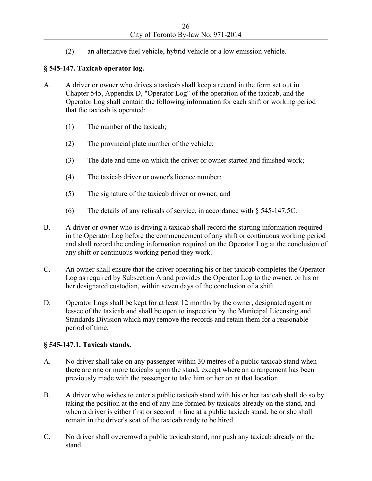(2) an alternative fuel vehicle, hybrid vehicle or a low emission vehicle.

# **§ 545-147. Taxicab operator log.**

- A. A driver or owner who drives a taxicab shall keep a record in the form set out in Chapter 545, Appendix D, "Operator Log" of the operation of the taxicab, and the Operator Log shall contain the following information for each shift or working period that the taxicab is operated:
	- (1) The number of the taxicab;
	- (2) The provincial plate number of the vehicle;
	- (3) The date and time on which the driver or owner started and finished work;
	- (4) The taxicab driver or owner's licence number;
	- (5) The signature of the taxicab driver or owner; and
	- (6) The details of any refusals of service, in accordance with § 545-147.5C.
- B. A driver or owner who is driving a taxicab shall record the starting information required in the Operator Log before the commencement of any shift or continuous working period and shall record the ending information required on the Operator Log at the conclusion of any shift or continuous working period they work.
- C. An owner shall ensure that the driver operating his or her taxicab completes the Operator Log as required by Subsection A and provides the Operator Log to the owner, or his or her designated custodian, within seven days of the conclusion of a shift.
- D. Operator Logs shall be kept for at least 12 months by the owner, designated agent or lessee of the taxicab and shall be open to inspection by the Municipal Licensing and Standards Division which may remove the records and retain them for a reasonable period of time.

## **§ 545-147.1. Taxicab stands.**

- A. No driver shall take on any passenger within 30 metres of a public taxicab stand when there are one or more taxicabs upon the stand, except where an arrangement has been previously made with the passenger to take him or her on at that location.
- B. A driver who wishes to enter a public taxicab stand with his or her taxicab shall do so by taking the position at the end of any line formed by taxicabs already on the stand, and when a driver is either first or second in line at a public taxicab stand, he or she shall remain in the driver's seat of the taxicab ready to be hired.
- C. No driver shall overcrowd a public taxicab stand, nor push any taxicab already on the stand.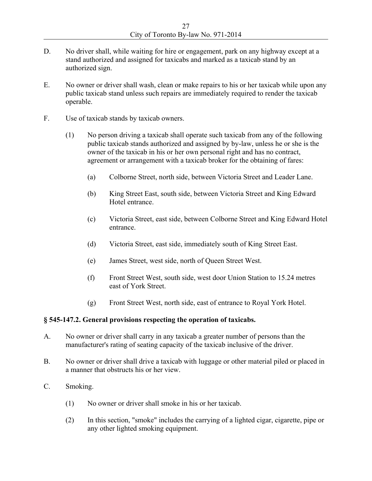- D. No driver shall, while waiting for hire or engagement, park on any highway except at a stand authorized and assigned for taxicabs and marked as a taxicab stand by an authorized sign.
- E. No owner or driver shall wash, clean or make repairs to his or her taxicab while upon any public taxicab stand unless such repairs are immediately required to render the taxicab operable.
- F. Use of taxicab stands by taxicab owners.
	- (1) No person driving a taxicab shall operate such taxicab from any of the following public taxicab stands authorized and assigned by by-law, unless he or she is the owner of the taxicab in his or her own personal right and has no contract, agreement or arrangement with a taxicab broker for the obtaining of fares:
		- (a) Colborne Street, north side, between Victoria Street and Leader Lane.
		- (b) King Street East, south side, between Victoria Street and King Edward Hotel entrance.
		- (c) Victoria Street, east side, between Colborne Street and King Edward Hotel entrance.
		- (d) Victoria Street, east side, immediately south of King Street East.
		- (e) James Street, west side, north of Queen Street West.
		- (f) Front Street West, south side, west door Union Station to 15.24 metres east of York Street.
		- (g) Front Street West, north side, east of entrance to Royal York Hotel.

#### **§ 545-147.2. General provisions respecting the operation of taxicabs.**

- A. No owner or driver shall carry in any taxicab a greater number of persons than the manufacturer's rating of seating capacity of the taxicab inclusive of the driver.
- B. No owner or driver shall drive a taxicab with luggage or other material piled or placed in a manner that obstructs his or her view.
- C. Smoking.
	- (1) No owner or driver shall smoke in his or her taxicab.
	- (2) In this section, "smoke" includes the carrying of a lighted cigar, cigarette, pipe or any other lighted smoking equipment.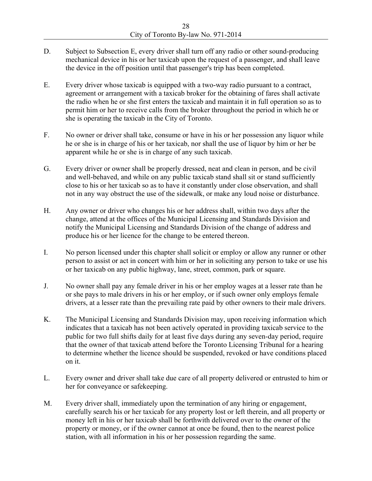- D. Subject to Subsection E, every driver shall turn off any radio or other sound-producing mechanical device in his or her taxicab upon the request of a passenger, and shall leave the device in the off position until that passenger's trip has been completed.
- E. Every driver whose taxicab is equipped with a two-way radio pursuant to a contract, agreement or arrangement with a taxicab broker for the obtaining of fares shall activate the radio when he or she first enters the taxicab and maintain it in full operation so as to permit him or her to receive calls from the broker throughout the period in which he or she is operating the taxicab in the City of Toronto.
- F. No owner or driver shall take, consume or have in his or her possession any liquor while he or she is in charge of his or her taxicab, nor shall the use of liquor by him or her be apparent while he or she is in charge of any such taxicab.
- G. Every driver or owner shall be properly dressed, neat and clean in person, and be civil and well-behaved, and while on any public taxicab stand shall sit or stand sufficiently close to his or her taxicab so as to have it constantly under close observation, and shall not in any way obstruct the use of the sidewalk, or make any loud noise or disturbance.
- H. Any owner or driver who changes his or her address shall, within two days after the change, attend at the offices of the Municipal Licensing and Standards Division and notify the Municipal Licensing and Standards Division of the change of address and produce his or her licence for the change to be entered thereon.
- I. No person licensed under this chapter shall solicit or employ or allow any runner or other person to assist or act in concert with him or her in soliciting any person to take or use his or her taxicab on any public highway, lane, street, common, park or square.
- J. No owner shall pay any female driver in his or her employ wages at a lesser rate than he or she pays to male drivers in his or her employ, or if such owner only employs female drivers, at a lesser rate than the prevailing rate paid by other owners to their male drivers.
- K. The Municipal Licensing and Standards Division may, upon receiving information which indicates that a taxicab has not been actively operated in providing taxicab service to the public for two full shifts daily for at least five days during any seven-day period, require that the owner of that taxicab attend before the Toronto Licensing Tribunal for a hearing to determine whether the licence should be suspended, revoked or have conditions placed on it.
- L. Every owner and driver shall take due care of all property delivered or entrusted to him or her for conveyance or safekeeping.
- M. Every driver shall, immediately upon the termination of any hiring or engagement, carefully search his or her taxicab for any property lost or left therein, and all property or money left in his or her taxicab shall be forthwith delivered over to the owner of the property or money, or if the owner cannot at once be found, then to the nearest police station, with all information in his or her possession regarding the same.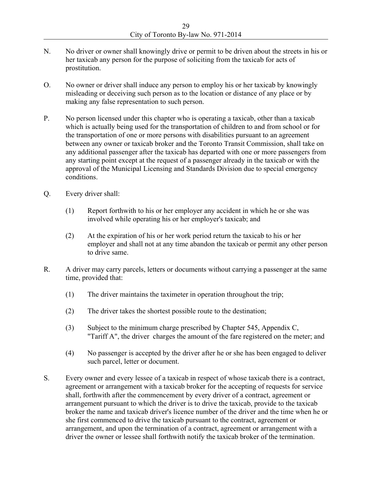- N. No driver or owner shall knowingly drive or permit to be driven about the streets in his or her taxicab any person for the purpose of soliciting from the taxicab for acts of prostitution.
- O. No owner or driver shall induce any person to employ his or her taxicab by knowingly misleading or deceiving such person as to the location or distance of any place or by making any false representation to such person.
- P. No person licensed under this chapter who is operating a taxicab, other than a taxicab which is actually being used for the transportation of children to and from school or for the transportation of one or more persons with disabilities pursuant to an agreement between any owner or taxicab broker and the Toronto Transit Commission, shall take on any additional passenger after the taxicab has departed with one or more passengers from any starting point except at the request of a passenger already in the taxicab or with the approval of the Municipal Licensing and Standards Division due to special emergency conditions.
- Q. Every driver shall:
	- (1) Report forthwith to his or her employer any accident in which he or she was involved while operating his or her employer's taxicab; and
	- (2) At the expiration of his or her work period return the taxicab to his or her employer and shall not at any time abandon the taxicab or permit any other person to drive same.
- R. A driver may carry parcels, letters or documents without carrying a passenger at the same time, provided that:
	- (1) The driver maintains the taximeter in operation throughout the trip;
	- (2) The driver takes the shortest possible route to the destination;
	- (3) Subject to the minimum charge prescribed by Chapter 545, Appendix C, "Tariff A", the driver charges the amount of the fare registered on the meter; and
	- (4) No passenger is accepted by the driver after he or she has been engaged to deliver such parcel, letter or document.
- S. Every owner and every lessee of a taxicab in respect of whose taxicab there is a contract, agreement or arrangement with a taxicab broker for the accepting of requests for service shall, forthwith after the commencement by every driver of a contract, agreement or arrangement pursuant to which the driver is to drive the taxicab, provide to the taxicab broker the name and taxicab driver's licence number of the driver and the time when he or she first commenced to drive the taxicab pursuant to the contract, agreement or arrangement, and upon the termination of a contract, agreement or arrangement with a driver the owner or lessee shall forthwith notify the taxicab broker of the termination.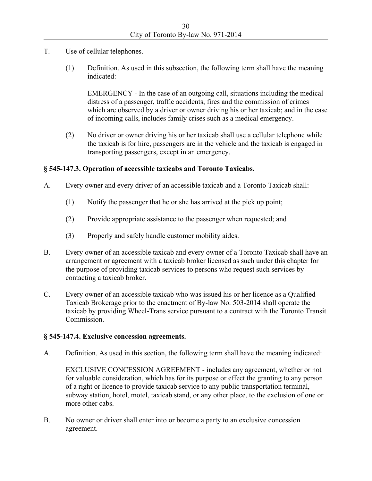- T. Use of cellular telephones.
	- (1) Definition. As used in this subsection, the following term shall have the meaning indicated:

EMERGENCY - In the case of an outgoing call, situations including the medical distress of a passenger, traffic accidents, fires and the commission of crimes which are observed by a driver or owner driving his or her taxicab; and in the case of incoming calls, includes family crises such as a medical emergency.

(2) No driver or owner driving his or her taxicab shall use a cellular telephone while the taxicab is for hire, passengers are in the vehicle and the taxicab is engaged in transporting passengers, except in an emergency.

## **§ 545-147.3. Operation of accessible taxicabs and Toronto Taxicabs.**

- A. Every owner and every driver of an accessible taxicab and a Toronto Taxicab shall:
	- (1) Notify the passenger that he or she has arrived at the pick up point;
	- (2) Provide appropriate assistance to the passenger when requested; and
	- (3) Properly and safely handle customer mobility aides.
- B. Every owner of an accessible taxicab and every owner of a Toronto Taxicab shall have an arrangement or agreement with a taxicab broker licensed as such under this chapter for the purpose of providing taxicab services to persons who request such services by contacting a taxicab broker.
- C. Every owner of an accessible taxicab who was issued his or her licence as a Qualified Taxicab Brokerage prior to the enactment of By-law No. 503-2014 shall operate the taxicab by providing Wheel-Trans service pursuant to a contract with the Toronto Transit Commission.

## **§ 545-147.4. Exclusive concession agreements.**

A. Definition. As used in this section, the following term shall have the meaning indicated:

EXCLUSIVE CONCESSION AGREEMENT - includes any agreement, whether or not for valuable consideration, which has for its purpose or effect the granting to any person of a right or licence to provide taxicab service to any public transportation terminal, subway station, hotel, motel, taxicab stand, or any other place, to the exclusion of one or more other cabs.

B. No owner or driver shall enter into or become a party to an exclusive concession agreement.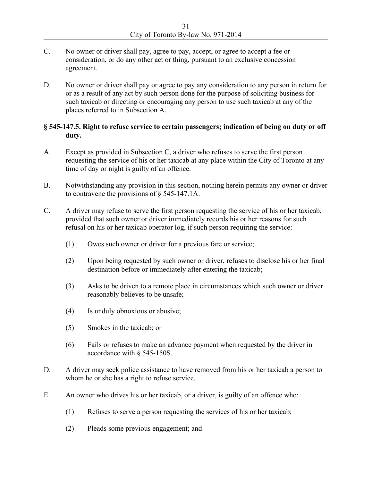- C. No owner or driver shall pay, agree to pay, accept, or agree to accept a fee or consideration, or do any other act or thing, pursuant to an exclusive concession agreement.
- D. No owner or driver shall pay or agree to pay any consideration to any person in return for or as a result of any act by such person done for the purpose of soliciting business for such taxicab or directing or encouraging any person to use such taxicab at any of the places referred to in Subsection A.

#### **§ 545-147.5. Right to refuse service to certain passengers; indication of being on duty or off duty.**

- A. Except as provided in Subsection C, a driver who refuses to serve the first person requesting the service of his or her taxicab at any place within the City of Toronto at any time of day or night is guilty of an offence.
- B. Notwithstanding any provision in this section, nothing herein permits any owner or driver to contravene the provisions of § 545-147.1A.
- C. A driver may refuse to serve the first person requesting the service of his or her taxicab, provided that such owner or driver immediately records his or her reasons for such refusal on his or her taxicab operator log, if such person requiring the service:
	- (1) Owes such owner or driver for a previous fare or service;
	- (2) Upon being requested by such owner or driver, refuses to disclose his or her final destination before or immediately after entering the taxicab;
	- (3) Asks to be driven to a remote place in circumstances which such owner or driver reasonably believes to be unsafe;
	- (4) Is unduly obnoxious or abusive;
	- (5) Smokes in the taxicab; or
	- (6) Fails or refuses to make an advance payment when requested by the driver in accordance with § 545-150S.
- D. A driver may seek police assistance to have removed from his or her taxicab a person to whom he or she has a right to refuse service.
- E. An owner who drives his or her taxicab, or a driver, is guilty of an offence who:
	- (1) Refuses to serve a person requesting the services of his or her taxicab;
	- (2) Pleads some previous engagement; and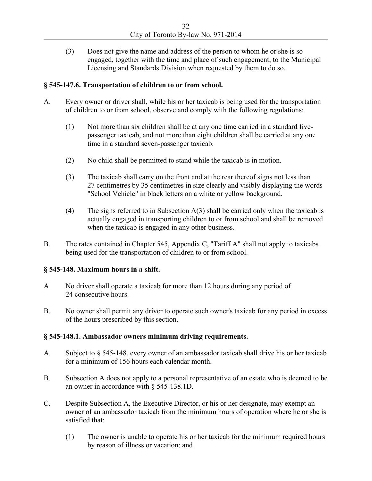(3) Does not give the name and address of the person to whom he or she is so engaged, together with the time and place of such engagement, to the Municipal Licensing and Standards Division when requested by them to do so.

## **§ 545-147.6. Transportation of children to or from school.**

- A. Every owner or driver shall, while his or her taxicab is being used for the transportation of children to or from school, observe and comply with the following regulations:
	- (1) Not more than six children shall be at any one time carried in a standard fivepassenger taxicab, and not more than eight children shall be carried at any one time in a standard seven-passenger taxicab.
	- (2) No child shall be permitted to stand while the taxicab is in motion.
	- (3) The taxicab shall carry on the front and at the rear thereof signs not less than 27 centimetres by 35 centimetres in size clearly and visibly displaying the words "School Vehicle" in black letters on a white or yellow background.
	- (4) The signs referred to in Subsection A(3) shall be carried only when the taxicab is actually engaged in transporting children to or from school and shall be removed when the taxicab is engaged in any other business.
- B. The rates contained in Chapter 545, Appendix C, "Tariff A" shall not apply to taxicabs being used for the transportation of children to or from school.

## **§ 545-148. Maximum hours in a shift.**

- A No driver shall operate a taxicab for more than 12 hours during any period of 24 consecutive hours.
- B. No owner shall permit any driver to operate such owner's taxicab for any period in excess of the hours prescribed by this section.

## **§ 545-148.1. Ambassador owners minimum driving requirements.**

- A. Subject to § 545-148, every owner of an ambassador taxicab shall drive his or her taxicab for a minimum of 156 hours each calendar month.
- B. Subsection A does not apply to a personal representative of an estate who is deemed to be an owner in accordance with § 545-138.1D.
- C. Despite Subsection A, the Executive Director, or his or her designate, may exempt an owner of an ambassador taxicab from the minimum hours of operation where he or she is satisfied that:
	- (1) The owner is unable to operate his or her taxicab for the minimum required hours by reason of illness or vacation; and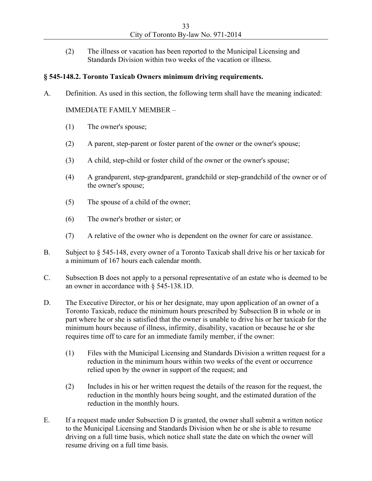(2) The illness or vacation has been reported to the Municipal Licensing and Standards Division within two weeks of the vacation or illness.

#### **§ 545-148.2. Toronto Taxicab Owners minimum driving requirements.**

A. Definition. As used in this section, the following term shall have the meaning indicated:

#### IMMEDIATE FAMILY MEMBER –

- (1) The owner's spouse;
- (2) A parent, step-parent or foster parent of the owner or the owner's spouse;
- (3) A child, step-child or foster child of the owner or the owner's spouse;
- (4) A grandparent, step-grandparent, grandchild or step-grandchild of the owner or of the owner's spouse;
- (5) The spouse of a child of the owner;
- (6) The owner's brother or sister; or
- (7) A relative of the owner who is dependent on the owner for care or assistance.
- B. Subject to § 545-148, every owner of a Toronto Taxicab shall drive his or her taxicab for a minimum of 167 hours each calendar month.
- C. Subsection B does not apply to a personal representative of an estate who is deemed to be an owner in accordance with § 545-138.1D.
- D. The Executive Director, or his or her designate, may upon application of an owner of a Toronto Taxicab, reduce the minimum hours prescribed by Subsection B in whole or in part where he or she is satisfied that the owner is unable to drive his or her taxicab for the minimum hours because of illness, infirmity, disability, vacation or because he or she requires time off to care for an immediate family member, if the owner:
	- (1) Files with the Municipal Licensing and Standards Division a written request for a reduction in the minimum hours within two weeks of the event or occurrence relied upon by the owner in support of the request; and
	- (2) Includes in his or her written request the details of the reason for the request, the reduction in the monthly hours being sought, and the estimated duration of the reduction in the monthly hours.
- E. If a request made under Subsection D is granted, the owner shall submit a written notice to the Municipal Licensing and Standards Division when he or she is able to resume driving on a full time basis, which notice shall state the date on which the owner will resume driving on a full time basis.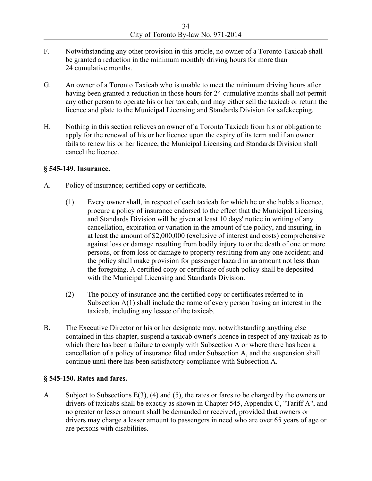- F. Notwithstanding any other provision in this article, no owner of a Toronto Taxicab shall be granted a reduction in the minimum monthly driving hours for more than 24 cumulative months.
- G. An owner of a Toronto Taxicab who is unable to meet the minimum driving hours after having been granted a reduction in those hours for 24 cumulative months shall not permit any other person to operate his or her taxicab, and may either sell the taxicab or return the licence and plate to the Municipal Licensing and Standards Division for safekeeping.
- H. Nothing in this section relieves an owner of a Toronto Taxicab from his or obligation to apply for the renewal of his or her licence upon the expiry of its term and if an owner fails to renew his or her licence, the Municipal Licensing and Standards Division shall cancel the licence.

#### **§ 545-149. Insurance.**

- A. Policy of insurance; certified copy or certificate.
	- (1) Every owner shall, in respect of each taxicab for which he or she holds a licence, procure a policy of insurance endorsed to the effect that the Municipal Licensing and Standards Division will be given at least 10 days' notice in writing of any cancellation, expiration or variation in the amount of the policy, and insuring, in at least the amount of \$2,000,000 (exclusive of interest and costs) comprehensive against loss or damage resulting from bodily injury to or the death of one or more persons, or from loss or damage to property resulting from any one accident; and the policy shall make provision for passenger hazard in an amount not less than the foregoing. A certified copy or certificate of such policy shall be deposited with the Municipal Licensing and Standards Division.
	- (2) The policy of insurance and the certified copy or certificates referred to in Subsection  $A(1)$  shall include the name of every person having an interest in the taxicab, including any lessee of the taxicab.
- B. The Executive Director or his or her designate may, notwithstanding anything else contained in this chapter, suspend a taxicab owner's licence in respect of any taxicab as to which there has been a failure to comply with Subsection A or where there has been a cancellation of a policy of insurance filed under Subsection A, and the suspension shall continue until there has been satisfactory compliance with Subsection A.

#### **§ 545-150. Rates and fares.**

A. Subject to Subsections E(3), (4) and (5), the rates or fares to be charged by the owners or drivers of taxicabs shall be exactly as shown in Chapter 545, Appendix C, "Tariff A", and no greater or lesser amount shall be demanded or received, provided that owners or drivers may charge a lesser amount to passengers in need who are over 65 years of age or are persons with disabilities.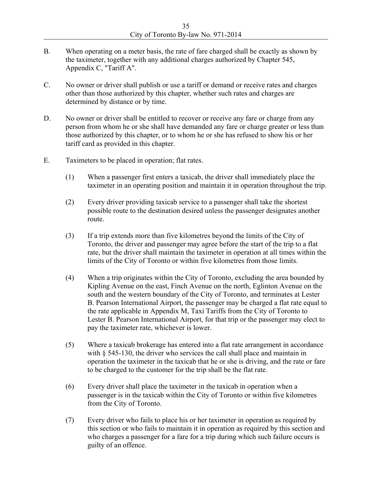- B. When operating on a meter basis, the rate of fare charged shall be exactly as shown by the taximeter, together with any additional charges authorized by Chapter 545, Appendix C, "Tariff A".
- C. No owner or driver shall publish or use a tariff or demand or receive rates and charges other than those authorized by this chapter, whether such rates and charges are determined by distance or by time.
- D. No owner or driver shall be entitled to recover or receive any fare or charge from any person from whom he or she shall have demanded any fare or charge greater or less than those authorized by this chapter, or to whom he or she has refused to show his or her tariff card as provided in this chapter.
- E. Taximeters to be placed in operation; flat rates.
	- (1) When a passenger first enters a taxicab, the driver shall immediately place the taximeter in an operating position and maintain it in operation throughout the trip.
	- (2) Every driver providing taxicab service to a passenger shall take the shortest possible route to the destination desired unless the passenger designates another route.
	- (3) If a trip extends more than five kilometres beyond the limits of the City of Toronto, the driver and passenger may agree before the start of the trip to a flat rate, but the driver shall maintain the taximeter in operation at all times within the limits of the City of Toronto or within five kilometres from those limits.
	- (4) When a trip originates within the City of Toronto, excluding the area bounded by Kipling Avenue on the east, Finch Avenue on the north, Eglinton Avenue on the south and the western boundary of the City of Toronto, and terminates at Lester B. Pearson International Airport, the passenger may be charged a flat rate equal to the rate applicable in Appendix M, Taxi Tariffs from the City of Toronto to Lester B. Pearson International Airport, for that trip or the passenger may elect to pay the taximeter rate, whichever is lower.
	- (5) Where a taxicab brokerage has entered into a flat rate arrangement in accordance with § 545-130, the driver who services the call shall place and maintain in operation the taximeter in the taxicab that he or she is driving, and the rate or fare to be charged to the customer for the trip shall be the flat rate.
	- (6) Every driver shall place the taximeter in the taxicab in operation when a passenger is in the taxicab within the City of Toronto or within five kilometres from the City of Toronto.
	- (7) Every driver who fails to place his or her taximeter in operation as required by this section or who fails to maintain it in operation as required by this section and who charges a passenger for a fare for a trip during which such failure occurs is guilty of an offence.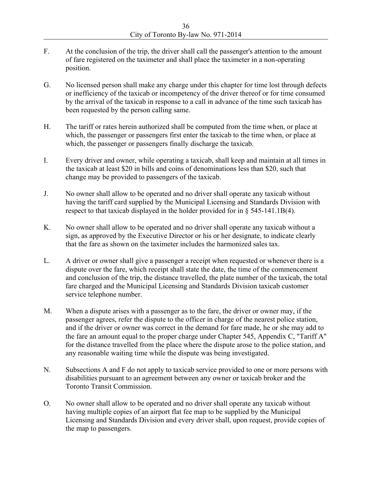- F. At the conclusion of the trip, the driver shall call the passenger's attention to the amount of fare registered on the taximeter and shall place the taximeter in a non-operating position.
- G. No licensed person shall make any charge under this chapter for time lost through defects or inefficiency of the taxicab or incompetency of the driver thereof or for time consumed by the arrival of the taxicab in response to a call in advance of the time such taxicab has been requested by the person calling same.
- H. The tariff or rates herein authorized shall be computed from the time when, or place at which, the passenger or passengers first enter the taxicab to the time when, or place at which, the passenger or passengers finally discharge the taxicab.
- I. Every driver and owner, while operating a taxicab, shall keep and maintain at all times in the taxicab at least \$20 in bills and coins of denominations less than \$20, such that change may be provided to passengers of the taxicab.
- J. No owner shall allow to be operated and no driver shall operate any taxicab without having the tariff card supplied by the Municipal Licensing and Standards Division with respect to that taxicab displayed in the holder provided for in § 545-141.1B(4).
- K. No owner shall allow to be operated and no driver shall operate any taxicab without a sign, as approved by the Executive Director or his or her designate, to indicate clearly that the fare as shown on the taximeter includes the harmonized sales tax.
- L. A driver or owner shall give a passenger a receipt when requested or whenever there is a dispute over the fare, which receipt shall state the date, the time of the commencement and conclusion of the trip, the distance travelled, the plate number of the taxicab, the total fare charged and the Municipal Licensing and Standards Division taxicab customer service telephone number.
- M. When a dispute arises with a passenger as to the fare, the driver or owner may, if the passenger agrees, refer the dispute to the officer in charge of the nearest police station, and if the driver or owner was correct in the demand for fare made, he or she may add to the fare an amount equal to the proper charge under Chapter 545, Appendix C, "Tariff A" for the distance travelled from the place where the dispute arose to the police station, and any reasonable waiting time while the dispute was being investigated.
- N. Subsections A and F do not apply to taxicab service provided to one or more persons with disabilities pursuant to an agreement between any owner or taxicab broker and the Toronto Transit Commission.
- O. No owner shall allow to be operated and no driver shall operate any taxicab without having multiple copies of an airport flat fee map to be supplied by the Municipal Licensing and Standards Division and every driver shall, upon request, provide copies of the map to passengers.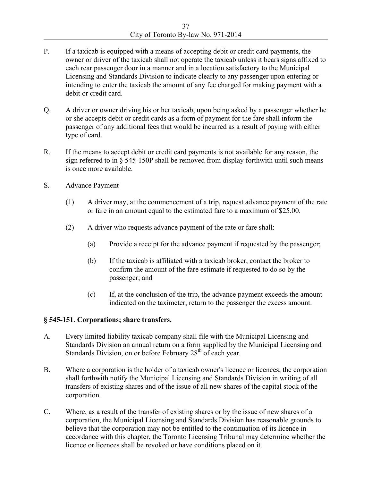- P. If a taxicab is equipped with a means of accepting debit or credit card payments, the owner or driver of the taxicab shall not operate the taxicab unless it bears signs affixed to each rear passenger door in a manner and in a location satisfactory to the Municipal Licensing and Standards Division to indicate clearly to any passenger upon entering or intending to enter the taxicab the amount of any fee charged for making payment with a debit or credit card.
- Q. A driver or owner driving his or her taxicab, upon being asked by a passenger whether he or she accepts debit or credit cards as a form of payment for the fare shall inform the passenger of any additional fees that would be incurred as a result of paying with either type of card.
- R. If the means to accept debit or credit card payments is not available for any reason, the sign referred to in § 545-150P shall be removed from display forthwith until such means is once more available.
- S. Advance Payment
	- (1) A driver may, at the commencement of a trip, request advance payment of the rate or fare in an amount equal to the estimated fare to a maximum of \$25.00.
	- (2) A driver who requests advance payment of the rate or fare shall:
		- (a) Provide a receipt for the advance payment if requested by the passenger;
		- (b) If the taxicab is affiliated with a taxicab broker, contact the broker to confirm the amount of the fare estimate if requested to do so by the passenger; and
		- (c) If, at the conclusion of the trip, the advance payment exceeds the amount indicated on the taximeter, return to the passenger the excess amount.

#### **§ 545-151. Corporations; share transfers.**

- A. Every limited liability taxicab company shall file with the Municipal Licensing and Standards Division an annual return on a form supplied by the Municipal Licensing and Standards Division, on or before February 28<sup>th</sup> of each year.
- B. Where a corporation is the holder of a taxicab owner's licence or licences, the corporation shall forthwith notify the Municipal Licensing and Standards Division in writing of all transfers of existing shares and of the issue of all new shares of the capital stock of the corporation.
- C. Where, as a result of the transfer of existing shares or by the issue of new shares of a corporation, the Municipal Licensing and Standards Division has reasonable grounds to believe that the corporation may not be entitled to the continuation of its licence in accordance with this chapter, the Toronto Licensing Tribunal may determine whether the licence or licences shall be revoked or have conditions placed on it.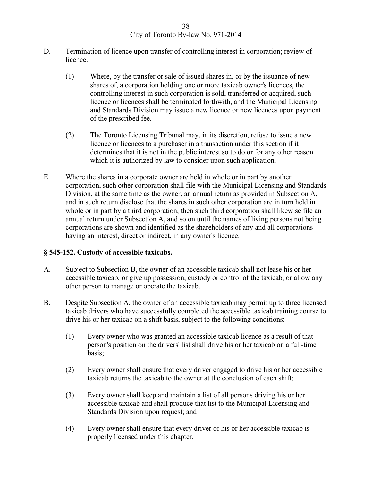- D. Termination of licence upon transfer of controlling interest in corporation; review of licence.
	- (1) Where, by the transfer or sale of issued shares in, or by the issuance of new shares of, a corporation holding one or more taxicab owner's licences, the controlling interest in such corporation is sold, transferred or acquired, such licence or licences shall be terminated forthwith, and the Municipal Licensing and Standards Division may issue a new licence or new licences upon payment of the prescribed fee.
	- (2) The Toronto Licensing Tribunal may, in its discretion, refuse to issue a new licence or licences to a purchaser in a transaction under this section if it determines that it is not in the public interest so to do or for any other reason which it is authorized by law to consider upon such application.
- E. Where the shares in a corporate owner are held in whole or in part by another corporation, such other corporation shall file with the Municipal Licensing and Standards Division, at the same time as the owner, an annual return as provided in Subsection A, and in such return disclose that the shares in such other corporation are in turn held in whole or in part by a third corporation, then such third corporation shall likewise file an annual return under Subsection A, and so on until the names of living persons not being corporations are shown and identified as the shareholders of any and all corporations having an interest, direct or indirect, in any owner's licence.

## **§ 545-152. Custody of accessible taxicabs.**

- A. Subject to Subsection B, the owner of an accessible taxicab shall not lease his or her accessible taxicab, or give up possession, custody or control of the taxicab, or allow any other person to manage or operate the taxicab.
- B. Despite Subsection A, the owner of an accessible taxicab may permit up to three licensed taxicab drivers who have successfully completed the accessible taxicab training course to drive his or her taxicab on a shift basis, subject to the following conditions:
	- (1) Every owner who was granted an accessible taxicab licence as a result of that person's position on the drivers' list shall drive his or her taxicab on a full-time basis;
	- (2) Every owner shall ensure that every driver engaged to drive his or her accessible taxicab returns the taxicab to the owner at the conclusion of each shift;
	- (3) Every owner shall keep and maintain a list of all persons driving his or her accessible taxicab and shall produce that list to the Municipal Licensing and Standards Division upon request; and
	- (4) Every owner shall ensure that every driver of his or her accessible taxicab is properly licensed under this chapter.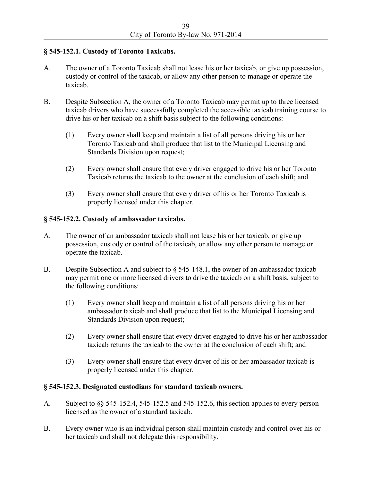## **§ 545-152.1. Custody of Toronto Taxicabs.**

- A. The owner of a Toronto Taxicab shall not lease his or her taxicab, or give up possession, custody or control of the taxicab, or allow any other person to manage or operate the taxicab.
- B. Despite Subsection A, the owner of a Toronto Taxicab may permit up to three licensed taxicab drivers who have successfully completed the accessible taxicab training course to drive his or her taxicab on a shift basis subject to the following conditions:
	- (1) Every owner shall keep and maintain a list of all persons driving his or her Toronto Taxicab and shall produce that list to the Municipal Licensing and Standards Division upon request;
	- (2) Every owner shall ensure that every driver engaged to drive his or her Toronto Taxicab returns the taxicab to the owner at the conclusion of each shift; and
	- (3) Every owner shall ensure that every driver of his or her Toronto Taxicab is properly licensed under this chapter.

## **§ 545-152.2. Custody of ambassador taxicabs.**

- A. The owner of an ambassador taxicab shall not lease his or her taxicab, or give up possession, custody or control of the taxicab, or allow any other person to manage or operate the taxicab.
- B. Despite Subsection A and subject to § 545-148.1, the owner of an ambassador taxicab may permit one or more licensed drivers to drive the taxicab on a shift basis, subject to the following conditions:
	- (1) Every owner shall keep and maintain a list of all persons driving his or her ambassador taxicab and shall produce that list to the Municipal Licensing and Standards Division upon request;
	- (2) Every owner shall ensure that every driver engaged to drive his or her ambassador taxicab returns the taxicab to the owner at the conclusion of each shift; and
	- (3) Every owner shall ensure that every driver of his or her ambassador taxicab is properly licensed under this chapter.

## **§ 545-152.3. Designated custodians for standard taxicab owners.**

- A. Subject to §§ 545-152.4, 545-152.5 and 545-152.6, this section applies to every person licensed as the owner of a standard taxicab.
- B. Every owner who is an individual person shall maintain custody and control over his or her taxicab and shall not delegate this responsibility.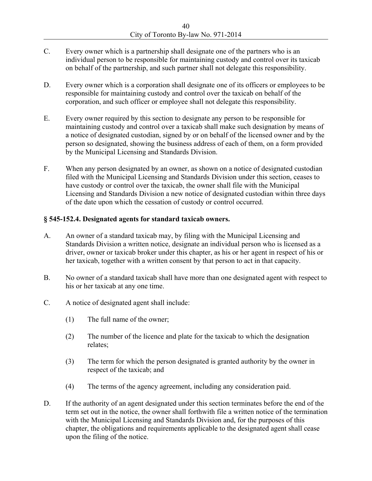- C. Every owner which is a partnership shall designate one of the partners who is an individual person to be responsible for maintaining custody and control over its taxicab on behalf of the partnership, and such partner shall not delegate this responsibility.
- D. Every owner which is a corporation shall designate one of its officers or employees to be responsible for maintaining custody and control over the taxicab on behalf of the corporation, and such officer or employee shall not delegate this responsibility.
- E. Every owner required by this section to designate any person to be responsible for maintaining custody and control over a taxicab shall make such designation by means of a notice of designated custodian, signed by or on behalf of the licensed owner and by the person so designated, showing the business address of each of them, on a form provided by the Municipal Licensing and Standards Division.
- F. When any person designated by an owner, as shown on a notice of designated custodian filed with the Municipal Licensing and Standards Division under this section, ceases to have custody or control over the taxicab, the owner shall file with the Municipal Licensing and Standards Division a new notice of designated custodian within three days of the date upon which the cessation of custody or control occurred.

## **§ 545-152.4. Designated agents for standard taxicab owners.**

- A. An owner of a standard taxicab may, by filing with the Municipal Licensing and Standards Division a written notice, designate an individual person who is licensed as a driver, owner or taxicab broker under this chapter, as his or her agent in respect of his or her taxicab, together with a written consent by that person to act in that capacity.
- B. No owner of a standard taxicab shall have more than one designated agent with respect to his or her taxicab at any one time.
- C. A notice of designated agent shall include:
	- (1) The full name of the owner;
	- (2) The number of the licence and plate for the taxicab to which the designation relates;
	- (3) The term for which the person designated is granted authority by the owner in respect of the taxicab; and
	- (4) The terms of the agency agreement, including any consideration paid.
- D. If the authority of an agent designated under this section terminates before the end of the term set out in the notice, the owner shall forthwith file a written notice of the termination with the Municipal Licensing and Standards Division and, for the purposes of this chapter, the obligations and requirements applicable to the designated agent shall cease upon the filing of the notice.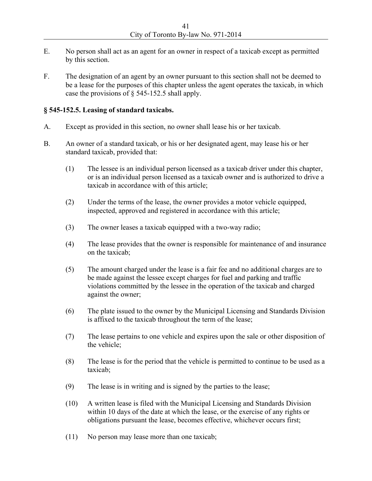- E. No person shall act as an agent for an owner in respect of a taxicab except as permitted by this section.
- F. The designation of an agent by an owner pursuant to this section shall not be deemed to be a lease for the purposes of this chapter unless the agent operates the taxicab, in which case the provisions of § 545-152.5 shall apply.

#### **§ 545-152.5. Leasing of standard taxicabs.**

- A. Except as provided in this section, no owner shall lease his or her taxicab.
- B. An owner of a standard taxicab, or his or her designated agent, may lease his or her standard taxicab, provided that:
	- (1) The lessee is an individual person licensed as a taxicab driver under this chapter, or is an individual person licensed as a taxicab owner and is authorized to drive a taxicab in accordance with of this article;
	- (2) Under the terms of the lease, the owner provides a motor vehicle equipped, inspected, approved and registered in accordance with this article;
	- (3) The owner leases a taxicab equipped with a two-way radio;
	- (4) The lease provides that the owner is responsible for maintenance of and insurance on the taxicab;
	- (5) The amount charged under the lease is a fair fee and no additional charges are to be made against the lessee except charges for fuel and parking and traffic violations committed by the lessee in the operation of the taxicab and charged against the owner;
	- (6) The plate issued to the owner by the Municipal Licensing and Standards Division is affixed to the taxicab throughout the term of the lease;
	- (7) The lease pertains to one vehicle and expires upon the sale or other disposition of the vehicle;
	- (8) The lease is for the period that the vehicle is permitted to continue to be used as a taxicab;
	- (9) The lease is in writing and is signed by the parties to the lease;
	- (10) A written lease is filed with the Municipal Licensing and Standards Division within 10 days of the date at which the lease, or the exercise of any rights or obligations pursuant the lease, becomes effective, whichever occurs first;
	- (11) No person may lease more than one taxicab;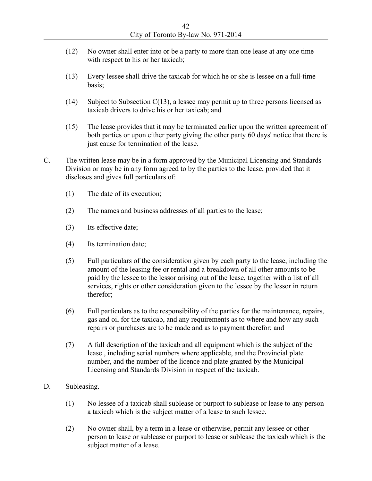- (12) No owner shall enter into or be a party to more than one lease at any one time with respect to his or her taxicab;
- (13) Every lessee shall drive the taxicab for which he or she is lessee on a full-time basis;
- (14) Subject to Subsection C(13), a lessee may permit up to three persons licensed as taxicab drivers to drive his or her taxicab; and
- (15) The lease provides that it may be terminated earlier upon the written agreement of both parties or upon either party giving the other party 60 days' notice that there is just cause for termination of the lease.
- C. The written lease may be in a form approved by the Municipal Licensing and Standards Division or may be in any form agreed to by the parties to the lease, provided that it discloses and gives full particulars of:
	- (1) The date of its execution;
	- (2) The names and business addresses of all parties to the lease;
	- (3) Its effective date;
	- (4) Its termination date;
	- (5) Full particulars of the consideration given by each party to the lease, including the amount of the leasing fee or rental and a breakdown of all other amounts to be paid by the lessee to the lessor arising out of the lease, together with a list of all services, rights or other consideration given to the lessee by the lessor in return therefor;
	- (6) Full particulars as to the responsibility of the parties for the maintenance, repairs, gas and oil for the taxicab, and any requirements as to where and how any such repairs or purchases are to be made and as to payment therefor; and
	- (7) A full description of the taxicab and all equipment which is the subject of the lease , including serial numbers where applicable, and the Provincial plate number, and the number of the licence and plate granted by the Municipal Licensing and Standards Division in respect of the taxicab.
- D. Subleasing.
	- (1) No lessee of a taxicab shall sublease or purport to sublease or lease to any person a taxicab which is the subject matter of a lease to such lessee.
	- (2) No owner shall, by a term in a lease or otherwise, permit any lessee or other person to lease or sublease or purport to lease or sublease the taxicab which is the subject matter of a lease.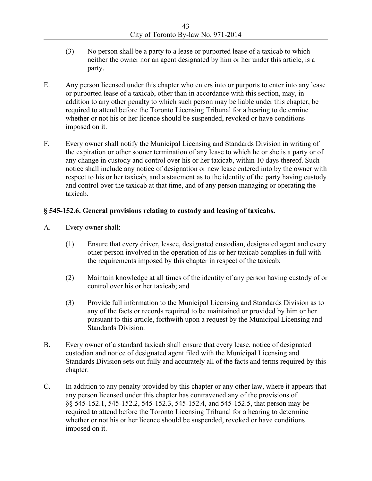- (3) No person shall be a party to a lease or purported lease of a taxicab to which neither the owner nor an agent designated by him or her under this article, is a party.
- E. Any person licensed under this chapter who enters into or purports to enter into any lease or purported lease of a taxicab, other than in accordance with this section, may, in addition to any other penalty to which such person may be liable under this chapter, be required to attend before the Toronto Licensing Tribunal for a hearing to determine whether or not his or her licence should be suspended, revoked or have conditions imposed on it.
- F. Every owner shall notify the Municipal Licensing and Standards Division in writing of the expiration or other sooner termination of any lease to which he or she is a party or of any change in custody and control over his or her taxicab, within 10 days thereof. Such notice shall include any notice of designation or new lease entered into by the owner with respect to his or her taxicab, and a statement as to the identity of the party having custody and control over the taxicab at that time, and of any person managing or operating the taxicab.

#### **§ 545-152.6. General provisions relating to custody and leasing of taxicabs.**

- A. Every owner shall:
	- (1) Ensure that every driver, lessee, designated custodian, designated agent and every other person involved in the operation of his or her taxicab complies in full with the requirements imposed by this chapter in respect of the taxicab;
	- (2) Maintain knowledge at all times of the identity of any person having custody of or control over his or her taxicab; and
	- (3) Provide full information to the Municipal Licensing and Standards Division as to any of the facts or records required to be maintained or provided by him or her pursuant to this article, forthwith upon a request by the Municipal Licensing and Standards Division.
- B. Every owner of a standard taxicab shall ensure that every lease, notice of designated custodian and notice of designated agent filed with the Municipal Licensing and Standards Division sets out fully and accurately all of the facts and terms required by this chapter.
- C. In addition to any penalty provided by this chapter or any other law, where it appears that any person licensed under this chapter has contravened any of the provisions of §§ 545-152.1, 545-152.2, 545-152.3, 545-152.4, and 545-152.5, that person may be required to attend before the Toronto Licensing Tribunal for a hearing to determine whether or not his or her licence should be suspended, revoked or have conditions imposed on it.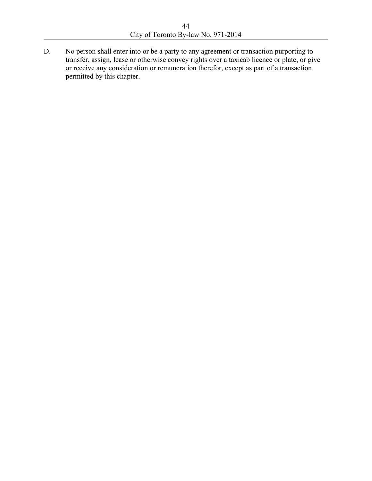D. No person shall enter into or be a party to any agreement or transaction purporting to transfer, assign, lease or otherwise convey rights over a taxicab licence or plate, or give or receive any consideration or remuneration therefor, except as part of a transaction permitted by this chapter.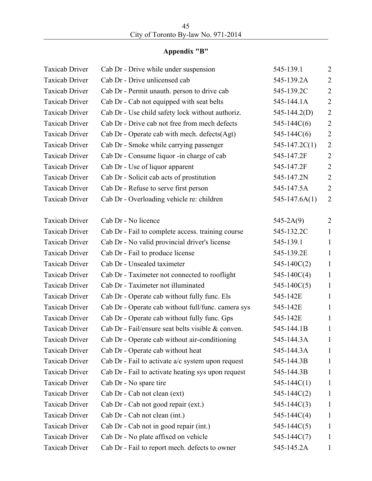# **Appendix "B"**

| <b>Taxicab Driver</b> | Cab Dr - Drive while under suspension               | 545-139.1         | $\overline{2}$ |
|-----------------------|-----------------------------------------------------|-------------------|----------------|
| <b>Taxicab Driver</b> | Cab Dr - Drive unlicensed cab                       | 545-139.2A        | $\overline{2}$ |
| <b>Taxicab Driver</b> | Cab Dr - Permit unauth. person to drive cab         | 545-139.2C        | $\overline{2}$ |
| <b>Taxicab Driver</b> | Cab Dr - Cab not equipped with seat belts           | 545-144.1A        | $\overline{2}$ |
| <b>Taxicab Driver</b> | Cab Dr - Use child safety lock without authoriz.    | $545 - 144.2(D)$  | $\overline{2}$ |
| <b>Taxicab Driver</b> | Cab Dr - Drive cab not free from mech defects       | $545 - 144C(6)$   | $\overline{2}$ |
| <b>Taxicab Driver</b> | Cab Dr - Operate cab with mech. defects(Agt)        | $545 - 144C(6)$   | $\overline{2}$ |
| <b>Taxicab Driver</b> | Cab Dr - Smoke while carrying passenger             | $545 - 147.2C(1)$ | $\overline{2}$ |
| <b>Taxicab Driver</b> | Cab Dr - Consume liquor -in charge of cab           | 545-147.2F        | $\overline{2}$ |
| <b>Taxicab Driver</b> | Cab Dr - Use of liquor apparent                     | 545-147.2F        | $\overline{2}$ |
| <b>Taxicab Driver</b> | Cab Dr - Solicit cab acts of prostitution           | 545-147.2N        | $\overline{2}$ |
| <b>Taxicab Driver</b> | Cab Dr - Refuse to serve first person               | 545-147.5A        | $\overline{2}$ |
| <b>Taxicab Driver</b> | Cab Dr - Overloading vehicle re: children           | $545 - 147.6A(1)$ | $\overline{2}$ |
|                       |                                                     |                   |                |
| <b>Taxicab Driver</b> | Cab Dr - No licence                                 | $545 - 2A(9)$     | $\overline{2}$ |
| <b>Taxicab Driver</b> | Cab Dr - Fail to complete access. training course   | 545-132.2C        | $\mathbf{1}$   |
| <b>Taxicab Driver</b> | Cab Dr - No valid provincial driver's license       | 545-139.1         | $\mathbf{1}$   |
| <b>Taxicab Driver</b> | Cab Dr - Fail to produce license                    | 545-139.2E        | $\mathbf{1}$   |
| <b>Taxicab Driver</b> | Cab Dr - Unsealed taximeter                         | $545 - 140C(2)$   | $\mathbf{1}$   |
| <b>Taxicab Driver</b> | Cab Dr - Taximeter not connected to rooflight       | $545 - 140C(4)$   | $\mathbf{1}$   |
| <b>Taxicab Driver</b> | Cab Dr - Taximeter not illuminated                  | $545 - 140C(5)$   | $\mathbf{1}$   |
| <b>Taxicab Driver</b> | Cab Dr - Operate cab without fully func. Els        | 545-142E          | $\mathbf{1}$   |
| <b>Taxicab Driver</b> | Cab Dr - Operate cab without full/func. camera sys  | 545-142E          | $\mathbf{1}$   |
| <b>Taxicab Driver</b> | Cab Dr - Operate cab without fully func. Gps        | 545-142E          | $\mathbf{1}$   |
| <b>Taxicab Driver</b> | Cab Dr - Fail/ensure seat belts visible & conven.   | 545-144.1B        | $\mathbf{1}$   |
| <b>Taxicab Driver</b> | Cab Dr - Operate cab without air-conditioning       | 545-144.3A        | $\mathbf{1}$   |
| <b>Taxicab Driver</b> | Cab Dr - Operate cab without heat                   | 545-144.3A        | 1              |
| <b>Taxicab Driver</b> | Cab Dr - Fail to activate $a/c$ system upon request | 545-144.3B        | 1              |
| <b>Taxicab Driver</b> | Cab Dr - Fail to activate heating sys upon request  | 545-144.3B        | 1              |
| <b>Taxicab Driver</b> | Cab Dr - No spare tire                              | $545 - 144C(1)$   | 1              |
| <b>Taxicab Driver</b> | Cab Dr - Cab not clean (ext)                        | $545 - 144C(2)$   | 1              |
| <b>Taxicab Driver</b> | Cab Dr - Cab not good repair (ext.)                 | $545 - 144C(3)$   | 1              |
| <b>Taxicab Driver</b> | Cab Dr - Cab not clean (int.)                       | $545 - 144C(4)$   | 1              |
| <b>Taxicab Driver</b> | Cab Dr - Cab not in good repair (int.)              | $545 - 144C(5)$   | $\mathbf{1}$   |
| <b>Taxicab Driver</b> | Cab Dr - No plate affixed on vehicle                | $545 - 144C(7)$   | 1              |
| <b>Taxicab Driver</b> | Cab Dr - Fail to report mech. defects to owner      | 545-145.2A        | $\mathbf 1$    |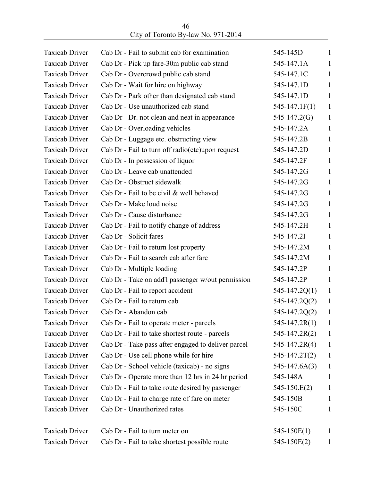| <b>Taxicab Driver</b> | Cab Dr - Fail to submit cab for examination        | 545-145D          | $\mathbf{1}$ |
|-----------------------|----------------------------------------------------|-------------------|--------------|
| <b>Taxicab Driver</b> | Cab Dr - Pick up fare-30m public cab stand         | 545-147.1A        | $\mathbf{1}$ |
| <b>Taxicab Driver</b> | Cab Dr - Overcrowd public cab stand                | 545-147.1C        | $\mathbf{1}$ |
| <b>Taxicab Driver</b> | Cab Dr - Wait for hire on highway                  | 545-147.1D        | $\mathbf{1}$ |
| <b>Taxicab Driver</b> | Cab Dr - Park other than designated cab stand      | 545-147.1D        | $\mathbf{1}$ |
| <b>Taxicab Driver</b> | Cab Dr - Use unauthorized cab stand                | $545 - 147.1F(1)$ | $\mathbf{1}$ |
| <b>Taxicab Driver</b> | Cab Dr - Dr. not clean and neat in appearance      | $545 - 147.2(G)$  | $\mathbf{1}$ |
| <b>Taxicab Driver</b> | Cab Dr - Overloading vehicles                      | 545-147.2A        | $\mathbf{1}$ |
| <b>Taxicab Driver</b> | Cab Dr - Luggage etc. obstructing view             | 545-147.2B        | 1            |
| <b>Taxicab Driver</b> | Cab Dr - Fail to turn off radio(etc) upon request  | 545-147.2D        | $\mathbf{1}$ |
| <b>Taxicab Driver</b> | Cab Dr - In possession of liquor                   | 545-147.2F        | 1            |
| <b>Taxicab Driver</b> | Cab Dr - Leave cab unattended                      | 545-147.2G        | $\mathbf{1}$ |
| <b>Taxicab Driver</b> | Cab Dr - Obstruct sidewalk                         | 545-147.2G        | 1            |
| <b>Taxicab Driver</b> | Cab Dr - Fail to be civil & well behaved           | 545-147.2G        | $\mathbf{1}$ |
| <b>Taxicab Driver</b> | Cab Dr - Make loud noise                           | 545-147.2G        | $\mathbf{1}$ |
| <b>Taxicab Driver</b> | Cab Dr - Cause disturbance                         | 545-147.2G        | $\mathbf{1}$ |
| <b>Taxicab Driver</b> | Cab Dr - Fail to notify change of address          | 545-147.2H        | 1            |
| <b>Taxicab Driver</b> | Cab Dr - Solicit fares                             | 545-147.2I        | $\mathbf{1}$ |
| <b>Taxicab Driver</b> | Cab Dr - Fail to return lost property              | 545-147.2M        | $\mathbf{1}$ |
| <b>Taxicab Driver</b> | Cab Dr - Fail to search cab after fare             | 545-147.2M        | $\mathbf{1}$ |
| <b>Taxicab Driver</b> | Cab Dr - Multiple loading                          | 545-147.2P        | 1            |
| <b>Taxicab Driver</b> | Cab Dr - Take on add'l passenger w/out permission  | 545-147.2P        | $\mathbf{1}$ |
| <b>Taxicab Driver</b> | Cab Dr - Fail to report accident                   | $545 - 147.2Q(1)$ | $\mathbf{1}$ |
| <b>Taxicab Driver</b> | Cab Dr - Fail to return cab                        | $545 - 147.2Q(2)$ | $\mathbf{1}$ |
| <b>Taxicab Driver</b> | Cab Dr - Abandon cab                               | $545 - 147.2Q(2)$ | $\mathbf{1}$ |
| <b>Taxicab Driver</b> | Cab Dr - Fail to operate meter - parcels           | $545 - 147.2R(1)$ | $\mathbf{1}$ |
| <b>Taxicab Driver</b> | Cab Dr - Fail to take shortest route - parcels     | $545 - 147.2R(2)$ | $\mathbf{1}$ |
| <b>Taxicab Driver</b> | Cab Dr - Take pass after engaged to deliver parcel | $545 - 147.2R(4)$ | $\mathbf{1}$ |
| <b>Taxicab Driver</b> | Cab Dr - Use cell phone while for hire             | $545 - 147.2T(2)$ | $\mathbf{1}$ |
| <b>Taxicab Driver</b> | Cab Dr - School vehicle (taxicab) - no signs       | $545 - 147.6A(3)$ | $\mathbf{1}$ |
| <b>Taxicab Driver</b> | Cab Dr - Operate more than 12 hrs in 24 hr period  | 545-148A          | 1            |
| <b>Taxicab Driver</b> | Cab Dr - Fail to take route desired by passenger   | $545 - 150.E(2)$  | $\mathbf{1}$ |
| <b>Taxicab Driver</b> | Cab Dr - Fail to charge rate of fare on meter      | 545-150B          | $\mathbf{1}$ |
| <b>Taxicab Driver</b> | Cab Dr - Unauthorized rates                        | 545-150C          | $\mathbf{1}$ |
| <b>Taxicab Driver</b> | Cab Dr - Fail to turn meter on                     | $545 - 150E(1)$   | 1            |
| <b>Taxicab Driver</b> | Cab Dr - Fail to take shortest possible route      | 545-150E(2)       | $\mathbf{I}$ |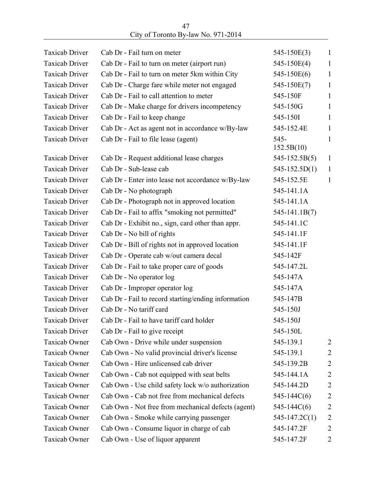| City of Toronto By-law No. 971-2014 |  |
|-------------------------------------|--|

| <b>Taxicab Driver</b> | Cab Dr - Fail turn on meter                         | 545-150E(3)       | $\mathbf{1}$   |
|-----------------------|-----------------------------------------------------|-------------------|----------------|
| <b>Taxicab Driver</b> | Cab Dr - Fail to turn on meter (airport run)        | 545-150E(4)       | $\mathbf{1}$   |
| <b>Taxicab Driver</b> | Cab Dr - Fail to turn on meter 5km within City      | 545-150E(6)       | $\mathbf{1}$   |
| <b>Taxicab Driver</b> | Cab Dr - Charge fare while meter not engaged        | 545-150E(7)       | 1              |
| <b>Taxicab Driver</b> | Cab Dr - Fail to call attention to meter            | 545-150F          | $\mathbf{1}$   |
| <b>Taxicab Driver</b> | Cab Dr - Make charge for drivers incompetency       | 545-150G          | $\mathbf{1}$   |
| <b>Taxicab Driver</b> | Cab Dr - Fail to keep change                        | 545-1501          | $\mathbf{1}$   |
| <b>Taxicab Driver</b> | Cab Dr - Act as agent not in accordance w/By-law    | 545-152.4E        | $\mathbf{1}$   |
| <b>Taxicab Driver</b> | Cab Dr - Fail to file lease (agent)                 | $545 -$           | $\mathbf{1}$   |
|                       |                                                     | 152.5B(10)        |                |
| <b>Taxicab Driver</b> | Cab Dr - Request additional lease charges           | $545 - 152.5B(5)$ | $\mathbf{1}$   |
| <b>Taxicab Driver</b> | Cab Dr - Sub-lease cab                              | $545 - 152.5D(1)$ | $\mathbf{1}$   |
| <b>Taxicab Driver</b> | Cab Dr - Enter into lease not accordance w/By-law   | 545-152.5E        | $\mathbf{1}$   |
| <b>Taxicab Driver</b> | Cab Dr - No photograph                              | 545-141.1A        |                |
| <b>Taxicab Driver</b> | Cab Dr - Photograph not in approved location        | 545-141.1A        |                |
| <b>Taxicab Driver</b> | Cab Dr - Fail to affix "smoking not permitted"      | $545 - 141.1B(7)$ |                |
| <b>Taxicab Driver</b> | Cab Dr - Exhibit no., sign, card other than appr.   | 545-141.1C        |                |
| <b>Taxicab Driver</b> | Cab Dr - No bill of rights                          | 545-141.1F        |                |
| <b>Taxicab Driver</b> | Cab Dr - Bill of rights not in approved location    | 545-141.1F        |                |
| <b>Taxicab Driver</b> | Cab Dr - Operate cab w/out camera decal             | 545-142F          |                |
| <b>Taxicab Driver</b> | Cab Dr - Fail to take proper care of goods          | 545-147.2L        |                |
| <b>Taxicab Driver</b> | Cab Dr - No operator log                            | 545-147A          |                |
| <b>Taxicab Driver</b> | Cab Dr - Improper operator log                      | 545-147A          |                |
| <b>Taxicab Driver</b> | Cab Dr - Fail to record starting/ending information | 545-147B          |                |
| <b>Taxicab Driver</b> | Cab Dr - No tariff card                             | 545-150J          |                |
| Taxicab Driver        | Cab Dr - Fail to have tariff card holder            | 545-150J          |                |
| <b>Taxicab Driver</b> | Cab Dr - Fail to give receipt                       | 545-150L          |                |
| <b>Taxicab Owner</b>  | Cab Own - Drive while under suspension              | 545-139.1         | 2              |
| Taxicab Owner         | Cab Own - No valid provincial driver's license      | 545-139.1         | 2              |
| Taxicab Owner         | Cab Own - Hire unlicensed cab driver                | 545-139.2B        | $\overline{2}$ |
| Taxicab Owner         | Cab Own - Cab not equipped with seat belts          | 545-144.1A        | 2              |
| Taxicab Owner         | Cab Own - Use child safety lock w/o authorization   | 545-144.2D        | $\overline{2}$ |
| <b>Taxicab Owner</b>  | Cab Own - Cab not free from mechanical defects      | $545 - 144C(6)$   | 2              |
| Taxicab Owner         | Cab Own - Not free from mechanical defects (agent)  | $545 - 144C(6)$   | $\overline{c}$ |
| Taxicab Owner         | Cab Own - Smoke while carrying passenger            | $545 - 147.2C(1)$ | $\overline{2}$ |
| Taxicab Owner         | Cab Own - Consume liquor in charge of cab           | 545-147.2F        | $\overline{2}$ |
| Taxicab Owner         | Cab Own - Use of liquor apparent                    | 545-147.2F        | 2              |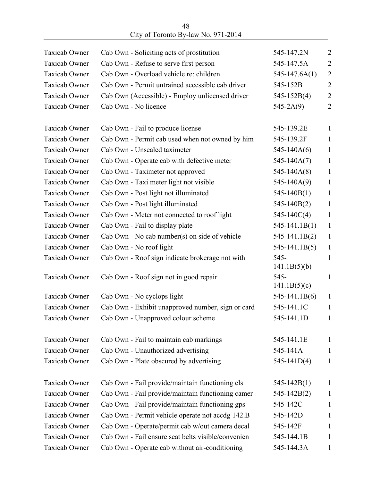| 48                                  |  |
|-------------------------------------|--|
| City of Toronto By-law No. 971-2014 |  |

| <b>Taxicab Owner</b> | Cab Own - Soliciting acts of prostitution          | 545-147.2N             | $\overline{2}$ |
|----------------------|----------------------------------------------------|------------------------|----------------|
| <b>Taxicab Owner</b> | Cab Own - Refuse to serve first person             | 545-147.5A             | $\overline{2}$ |
| Taxicab Owner        | Cab Own - Overload vehicle re: children            | $545 - 147.6A(1)$      | $\overline{2}$ |
| <b>Taxicab Owner</b> | Cab Own - Permit untrained accessible cab driver   | 545-152B               | $\overline{2}$ |
| Taxicab Owner        | Cab Own (Accessible) - Employ unlicensed driver    | $545 - 152B(4)$        | $\overline{2}$ |
| Taxicab Owner        | Cab Own - No licence                               | $545 - 2A(9)$          | $\overline{2}$ |
| <b>Taxicab Owner</b> | Cab Own - Fail to produce license                  | 545-139.2E             | $\mathbf{1}$   |
| Taxicab Owner        | Cab Own - Permit cab used when not owned by him    | 545-139.2F             | $\mathbf{1}$   |
| <b>Taxicab Owner</b> | Cab Own - Unsealed taximeter                       | $545 - 140A(6)$        | $\mathbf{1}$   |
| Taxicab Owner        | Cab Own - Operate cab with defective meter         | $545 - 140A(7)$        | $\mathbf{1}$   |
| <b>Taxicab Owner</b> | Cab Own - Taximeter not approved                   | $545 - 140A(8)$        | $\mathbf{1}$   |
| <b>Taxicab Owner</b> | Cab Own - Taxi meter light not visible             | $545 - 140A(9)$        | $\mathbf{1}$   |
| Taxicab Owner        | Cab Own - Post light not illuminated               | $545 - 140B(1)$        | $\mathbf{1}$   |
| Taxicab Owner        | Cab Own - Post light illuminated                   | $545 - 140B(2)$        | 1              |
| Taxicab Owner        | Cab Own - Meter not connected to roof light        | $545 - 140C(4)$        | $\mathbf{1}$   |
| Taxicab Owner        | Cab Own - Fail to display plate                    | $545 - 141.1B(1)$      | $\mathbf{1}$   |
| Taxicab Owner        | Cab Own - No cab number(s) on side of vehicle      | 545-141.1B(2)          | $\mathbf{1}$   |
| Taxicab Owner        | Cab Own - No roof light                            | $545 - 141.1B(5)$      | $\mathbf{1}$   |
| Taxicab Owner        | Cab Own - Roof sign indicate brokerage not with    | $545-$<br>141.1B(5)(b) | 1              |
| Taxicab Owner        | Cab Own - Roof sign not in good repair             | 545-<br>141.1B(5)(c)   | $\mathbf{1}$   |
| <b>Taxicab Owner</b> | Cab Own - No cyclops light                         | $545 - 141.1B(6)$      | $\mathbf{1}$   |
| Taxicab Owner        | Cab Own - Exhibit unapproved number, sign or card  | 545-141.1C             | $\mathbf{1}$   |
| Taxicab Owner        | Cab Own - Unapproved colour scheme                 | 545-141.1D             | $\mathbf{1}$   |
| Taxicab Owner        | Cab Own - Fail to maintain cab markings            | 545-141.1E             | $\mathbf{1}$   |
| <b>Taxicab Owner</b> | Cab Own - Unauthorized advertising                 | 545-141A               | $\mathbf{1}$   |
| Taxicab Owner        | Cab Own - Plate obscured by advertising            | $545 - 141D(4)$        | $\mathbf{1}$   |
| Taxicab Owner        | Cab Own - Fail provide/maintain functioning els    | $545 - 142B(1)$        | 1              |
| <b>Taxicab Owner</b> | Cab Own - Fail provide/maintain functioning camer  | $545 - 142B(2)$        | $\mathbf{1}$   |
| Taxicab Owner        | Cab Own - Fail provide/maintain functioning gps    | 545-142C               | 1              |
| <b>Taxicab Owner</b> | Cab Own - Permit vehicle operate not accdg 142.B   | 545-142D               | 1              |
| Taxicab Owner        | Cab Own - Operate/permit cab w/out camera decal    | 545-142F               | 1              |
| <b>Taxicab Owner</b> | Cab Own - Fail ensure seat belts visible/convenien | 545-144.1B             | 1              |
| Taxicab Owner        | Cab Own - Operate cab without air-conditioning     | 545-144.3A             | $\mathbf{1}$   |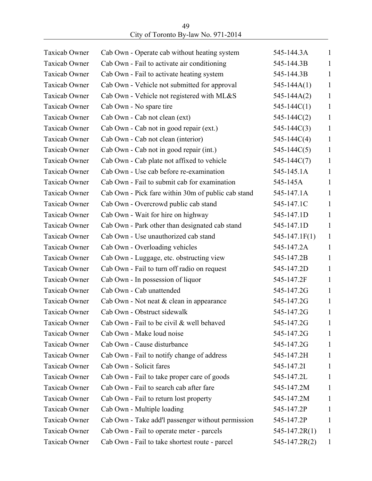| Taxicab Owner        | Cab Own - Operate cab without heating system       | 545-144.3A        | $\mathbf{1}$ |
|----------------------|----------------------------------------------------|-------------------|--------------|
| Taxicab Owner        | Cab Own - Fail to activate air conditioning        | 545-144.3B        | $\mathbf{1}$ |
| Taxicab Owner        | Cab Own - Fail to activate heating system          | 545-144.3B        | $\mathbf{1}$ |
| <b>Taxicab Owner</b> | Cab Own - Vehicle not submitted for approval       | $545 - 144A(1)$   | $\mathbf{1}$ |
| Taxicab Owner        | Cab Own - Vehicle not registered with ML&S         | $545 - 144A(2)$   | 1            |
| Taxicab Owner        | Cab Own - No spare tire                            | $545 - 144C(1)$   | $\mathbf{1}$ |
| Taxicab Owner        | Cab Own - Cab not clean (ext)                      | $545 - 144C(2)$   | 1            |
| Taxicab Owner        | Cab Own - Cab not in good repair (ext.)            | $545 - 144C(3)$   | $\mathbf{1}$ |
| Taxicab Owner        | Cab Own - Cab not clean (interior)                 | $545 - 144C(4)$   | 1            |
| Taxicab Owner        | Cab Own - Cab not in good repair (int.)            | $545 - 144C(5)$   | $\mathbf{1}$ |
| <b>Taxicab Owner</b> | Cab Own - Cab plate not affixed to vehicle         | $545 - 144C(7)$   | 1            |
| <b>Taxicab Owner</b> | Cab Own - Use cab before re-examination            | 545-145.1A        | $\mathbf{1}$ |
| <b>Taxicab Owner</b> | Cab Own - Fail to submit cab for examination       | 545-145A          | 1            |
| <b>Taxicab Owner</b> | Cab Own - Pick fare within 30m of public cab stand | 545-147.1A        | $\mathbf{1}$ |
| <b>Taxicab Owner</b> | Cab Own - Overcrowd public cab stand               | 545-147.1C        | 1            |
| <b>Taxicab Owner</b> | Cab Own - Wait for hire on highway                 | 545-147.1D        | $\mathbf{1}$ |
| Taxicab Owner        | Cab Own - Park other than designated cab stand     | 545-147.1D        | 1            |
| <b>Taxicab Owner</b> | Cab Own - Use unauthorized cab stand               | $545 - 147.1F(1)$ | $\mathbf{1}$ |
| Taxicab Owner        | Cab Own - Overloading vehicles                     | 545-147.2A        | 1            |
| Taxicab Owner        | Cab Own - Luggage, etc. obstructing view           | 545-147.2B        | $\mathbf{1}$ |
| Taxicab Owner        | Cab Own - Fail to turn off radio on request        | 545-147.2D        | 1            |
| Taxicab Owner        | Cab Own - In possession of liquor                  | 545-147.2F        | 1            |
| <b>Taxicab Owner</b> | Cab Own - Cab unattended                           | 545-147.2G        | 1            |
| Taxicab Owner        | Cab Own - Not neat & clean in appearance           | 545-147.2G        | $\mathbf{1}$ |
| Taxicab Owner        | Cab Own - Obstruct sidewalk                        | 545-147.2G        | $\mathbf{1}$ |
| <b>Taxicab Owner</b> | Cab Own - Fail to be civil & well behaved          | 545-147.2G        | $\mathbf{1}$ |
| Taxicab Owner        | Cab Own - Make loud noise                          | 545-147.2G        | 1            |
| Taxicab Owner        | Cab Own - Cause disturbance                        | 545-147.2G        | $\mathbf{1}$ |
| Taxicab Owner        | Cab Own - Fail to notify change of address         | 545-147.2H        | $\mathbf{1}$ |
| Taxicab Owner        | Cab Own - Solicit fares                            | 545-147.2I        | $\mathbf{1}$ |
| Taxicab Owner        | Cab Own - Fail to take proper care of goods        | 545-147.2L        | 1            |
| <b>Taxicab Owner</b> | Cab Own - Fail to search cab after fare            | 545-147.2M        | $\mathbf{1}$ |
| Taxicab Owner        | Cab Own - Fail to return lost property             | 545-147.2M        | 1            |
| Taxicab Owner        | Cab Own - Multiple loading                         | 545-147.2P        | $\mathbf{1}$ |
| Taxicab Owner        | Cab Own - Take add'l passenger without permission  | 545-147.2P        | 1            |
| Taxicab Owner        | Cab Own - Fail to operate meter - parcels          | $545 - 147.2R(1)$ | $\mathbf{1}$ |
| Taxicab Owner        | Cab Own - Fail to take shortest route - parcel     | $545 - 147.2R(2)$ | 1            |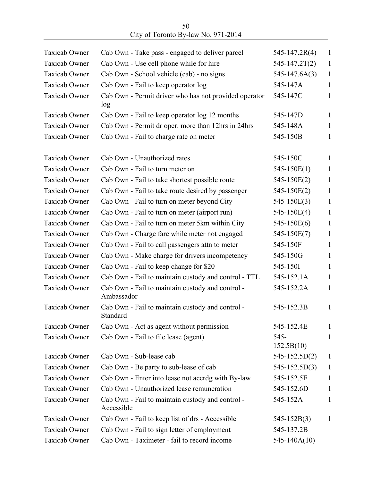| Taxicab Owner        | Cab Own - Take pass - engaged to deliver parcel                | $545 - 147.2R(4)$     | $\mathbf{1}$ |
|----------------------|----------------------------------------------------------------|-----------------------|--------------|
| <b>Taxicab Owner</b> | Cab Own - Use cell phone while for hire                        | $545 - 147.2T(2)$     | $\mathbf{1}$ |
| Taxicab Owner        | Cab Own - School vehicle (cab) - no signs                      | $545 - 147.6A(3)$     | $\mathbf{1}$ |
| <b>Taxicab Owner</b> | Cab Own - Fail to keep operator log                            | 545-147A              | $\mathbf{1}$ |
| Taxicab Owner        | Cab Own - Permit driver who has not provided operator<br>log   | 545-147C              | $\mathbf{1}$ |
| <b>Taxicab Owner</b> | Cab Own - Fail to keep operator log 12 months                  | 545-147D              | $\mathbf{1}$ |
| <b>Taxicab Owner</b> | Cab Own - Permit dr oper. more than 12hrs in 24hrs             | 545-148A              | $\mathbf{1}$ |
| Taxicab Owner        | Cab Own - Fail to charge rate on meter                         | 545-150B              | $\mathbf{1}$ |
| Taxicab Owner        | Cab Own - Unauthorized rates                                   | 545-150C              | $\mathbf{1}$ |
| <b>Taxicab Owner</b> | Cab Own - Fail to turn meter on                                | $545 - 150E(1)$       | $\mathbf{1}$ |
| <b>Taxicab Owner</b> | Cab Own - Fail to take shortest possible route                 | 545-150E(2)           | $\mathbf{1}$ |
| <b>Taxicab Owner</b> | Cab Own - Fail to take route desired by passenger              | 545-150E(2)           | $\mathbf{1}$ |
| Taxicab Owner        | Cab Own - Fail to turn on meter beyond City                    | 545-150E(3)           | $\mathbf{1}$ |
| Taxicab Owner        | Cab Own - Fail to turn on meter (airport run)                  | 545-150E(4)           | $\mathbf{1}$ |
| Taxicab Owner        | Cab Own - Fail to turn on meter 5km within City                | 545-150E(6)           | 1            |
| Taxicab Owner        | Cab Own - Charge fare while meter not engaged                  | 545-150E(7)           | $\mathbf{1}$ |
| Taxicab Owner        | Cab Own - Fail to call passengers attn to meter                | 545-150F              | 1            |
| Taxicab Owner        | Cab Own - Make charge for drivers incompetency                 | 545-150G              | $\mathbf{1}$ |
| Taxicab Owner        | Cab Own - Fail to keep change for \$20                         | 545-1501              | 1            |
| Taxicab Owner        | Cab Own - Fail to maintain custody and control - TTL           | 545-152.1A            | $\mathbf{1}$ |
| <b>Taxicab Owner</b> | Cab Own - Fail to maintain custody and control -<br>Ambassador | 545-152.2A            | 1            |
| <b>Taxicab Owner</b> | Cab Own - Fail to maintain custody and control -<br>Standard   | 545-152.3B            | $\mathbf{1}$ |
| Taxicab Owner        | Cab Own - Act as agent without permission                      | 545-152.4E            | 1            |
| Taxicab Owner        | Cab Own - Fail to file lease (agent)                           | $545 -$<br>152.5B(10) | 1            |
| <b>Taxicab Owner</b> | Cab Own - Sub-lease cab                                        | $545 - 152.5D(2)$     | $\mathbf{1}$ |
| Taxicab Owner        | Cab Own - Be party to sub-lease of cab                         | $545 - 152.5D(3)$     | $\mathbf{1}$ |
| Taxicab Owner        | Cab Own - Enter into lease not accrdg with By-law              | 545-152.5E            | $\mathbf{1}$ |
| <b>Taxicab Owner</b> | Cab Own - Unauthorized lease remuneration                      | 545-152.6D            | 1            |
| <b>Taxicab Owner</b> | Cab Own - Fail to maintain custody and control -<br>Accessible | 545-152A              | $\mathbf{1}$ |
| Taxicab Owner        | Cab Own - Fail to keep list of drs - Accessible                | $545 - 152B(3)$       | 1            |
| Taxicab Owner        | Cab Own - Fail to sign letter of employment                    | 545-137.2B            |              |
| Taxicab Owner        | Cab Own - Taximeter - fail to record income                    | $545 - 140A(10)$      |              |
|                      |                                                                |                       |              |